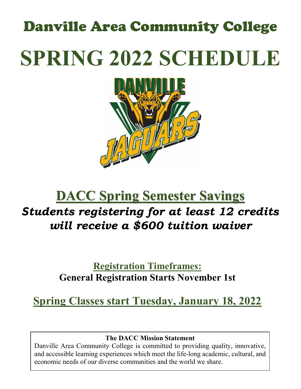# Danville Area Community College **SPRING 2022 SCHEDULE**



# **DACC Spring Semester Savings** *Students registering for at least 12 credits will receive a \$600 tuition waiver*

# **Registration Timeframes: General Registration Starts November 1st**

# **Spring Classes start Tuesday, January 18, 2022**

# **The DACC Mission Statement**

Danville Area Community College is committed to providing quality, innovative, and accessible learning experiences which meet the life-long academic, cultural, and economic needs of our diverse communities and the world we share.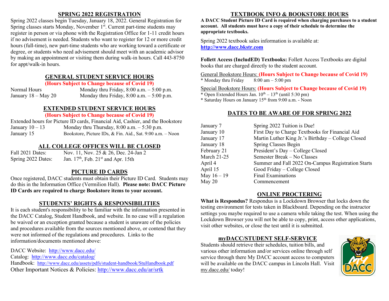# **SPRING 2022 REGISTRATION**

Spring 2022 classes begin Tuesday, January 18, 2022. General Registration for Spring classes starts Monday, November 1<sup>st</sup>. Current part-time students may register in person or via phone with the Registration Office for 1-11 credit hours if no advisement is needed. Students who want to register for 12 or more credit hours (full-time), new part-time students who are working toward a certificate or degree, or students who need advisement should meet with an academic advisor by making an appointment or visiting them during walk-in hours. Call 443-8750 for appt/walk-in hours.

### **GENERAL STUDENT SERVICE HOURS**

#### **(Hours Subject to Change because of Covid 19)**

Normal Hours Monday thru Friday, 8:00 a.m. – 5:00 p.m. January  $18 - \text{May } 20$  Monday thru Friday,  $8:00$  a.m.  $-5:00$  p.m.

# **EXTENDED STUDENT SERVICE HOURS**

#### **(Hours Subject to Change because of Covid 19)**

Extended hours for Picture ID cards, Financial Aid, Cashier, and the Bookstore January  $10 - 13$  Monday thru Thursday,  $8:00$  a.m.  $-5:30$  p.m. January 15 Bookstore, Picture IDs, & Fin. Aid., Sat. 9:00 a.m. – Noon

# **ALL COLLEGE OFFICES WILL BE CLOSED**

Fall 2021 Dates: Nov. 11, Nov. 25 & 26, Dec. 24-Jan 2 Spring 2022 Dates: Jan.  $17<sup>th</sup>$ , Feb.  $21<sup>st</sup>$  and Apr. 15th

# **PICTURE ID CARDS**

Once registered, DACC students must obtain their Picture ID Card. Students may do this in the Information Office (Vermilion Hall). **Please note: DACC Picture ID Cards are required to charge Bookstore items to your account.**

# **STUDENTS' RIGHTS & RESPONSIBILITIES**

It is each student's responsibility to be familiar with the information presented in the DACC Catalog, Student Handbook, and website. In no case will a regulation be waived or an exception granted because a student is unaware of the policies and procedures available from the sources mentioned above, or contend that they were not informed of the regulations and procedures. Links to the information/documents mentioned above:

DACC Website: <http://www.dacc.edu/>

Catalog: <http://www.dacc.edu/catalog/>

Handbook: <http://www.dacc.edu/assets/pdfs/student-handbook/StuHandbook.pdf> Other Important Notices & Policies:<http://www.dacc.edu/ar/srtk>

# **TEXTBOOK INFO & BOOKSTORE HOURS**

**A DACC Student Picture ID Card is required when charging purchases to a student account. All students must have a copy of their schedule to determine the appropriate textbooks.** 

Spring 2022 textbook sales information is available at: **[http://www.dacc.bkstr.com](http://www.dacc.bkstr.com/)**

**Follett Access (IncludED) Textbooks:** Follett Access Textbooks are digital books that are charged directly to the student account.

General Bookstore Hours: **(Hours Subject to Change because of Covid 19)** \* Monday thru Friday  $8:00 \text{ am} - 5:00 \text{ pm}$ 

Special Bookstore Hours: **(Hours Subject to Change because of Covid 19)** \* Open Extended Hours Jan.  $10^{th} - 13^{th}$  (until 5:30 pm) \* Saturday Hours on January 15th from 9:00 a.m. - Noon

# **DATES TO BE AWARE OF FOR SPRING 2022**

| January 7     | Spring 2022 Tuition is Due!                        |
|---------------|----------------------------------------------------|
| January 10    | First Day to Charge Textbooks for Financial Aid    |
| January 17    | Martin Luther King Jr.'s Birthday – College Closed |
| January 18    | Spring Classes Begin                               |
| February 21   | President's Day - College Closed                   |
| March 21-25   | Semester Break - No Classes                        |
| April 4       | Summer and Fall 2022 On-Campus Registration Starts |
| April 15      | Good Friday – College Closed                       |
| May $16 - 19$ | Final Examinations                                 |
| May 20        | Commencement                                       |
|               |                                                    |

# **ONLINE PROCTERING**

**What is Respondus?** Respondus is a Lockdown Browser that locks down the testing environment for tests taken in Blackboard. Depending on the instructor settings you maybe required to use a camera while taking the test. When using the Lockdown Browser you will not be able to copy, print, access other applications, visit other websites, or close the test until it is submitted.

# **myDACC/STUDENT SELF-SERVICE**

Students should retrieve their schedules, tuition bills, and various other information and/or services online through self service through there My DACC account access to computers will be available on the DACC campus in Lincoln Hall. Visit my.dacc.edu/ today!

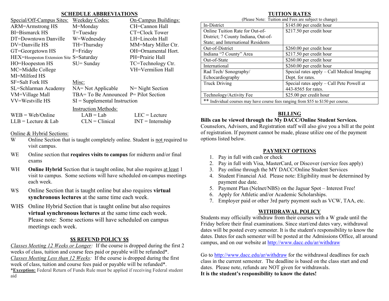#### **SCHEDULE ABBREVIATIONS**

|                                         | <b>SCHLDULL ADDRETHATIONS</b>             |                      |
|-----------------------------------------|-------------------------------------------|----------------------|
| Special/Off-Campus Sites:               | <b>Weekday Codes:</b>                     | On-Campus Buildings: |
| <b>ARM=Armstrong HS</b>                 | M=Monday                                  | CH=Cannon Hall       |
| BI=Bismarck HS                          | T=Tuesday                                 | CT=Clock Tower       |
| DT=Downtown Danville                    | W=Wednesday                               | LH=Lincoln Hall      |
| DV=Danville HS                          | TH=Thursday                               | MM=Mary Miller Ctr.  |
| GT=Georgetown HS                        | F=Friday                                  | OH=Ornamental Hort.  |
| HEX=Hoopeston Extension Site S=Saturday |                                           | PH=Prairie Hall      |
| HO=Hoopeston HS                         | $SU =$ Sunday                             | TC=Technology Ctr.   |
| MC=Middle College                       |                                           | VH=Vermilion Hall    |
| MI=Milford HS                           |                                           |                      |
| SF=Salt Fork HS                         | Misc:                                     |                      |
| SL=Schlarman Academy                    | $NA = Not$ Applicable $N = Night$ Section |                      |
| VM=Village Mall                         | TBA= To Be Announced $P =$ Pilot Section  |                      |
| VV=Westville HS                         | $SI =$ Supplemental Instruction           |                      |
|                                         | <b>Instruction Methods:</b>               |                      |
| $WEB = Web/Online$                      | $LAB = Lab$                               | $LEC = Lecture$      |
| $LLB =$ Lecture & Lab                   | $CLN = Clinical$                          | $INT = Internship$   |
|                                         |                                           |                      |

Online & Hybrid Sections:

- W Online Section that is taught completely online. Student is not required to visit campus.
- WE Online section that **requires visits to campus** for midterm and/or final exams
- WH **Online Hybrid** Section that is taught online, but also requires at least 1 visit to campus. Some sections will have scheduled on-campus meetings each week.
- WS Online Section that is taught online but also requires **virtual synchronous lectures** at the same time each week.
- WHS Online Hybrid Section that is taught online but also requires **virtual synchronous lectures** at the same time each week. Please note: Some sections will have scheduled on campus meetings each week.

# **\$\$ REFUND POLICY \$\$**

*Classes Meeting 12 Weeks or Longer:* If the course is dropped during the first 2 weeks of class, tuition and course fees paid or payable will be refunded\*. *Classes Meeting Less than 12 Weeks:* If the course is dropped during the first week of class, tuition and course fees paid or payable will be refunded\*. \***Exception:** Federal Return of Funds Rule must be applied if receiving Federal student aid

# **TUITION RATES**

| (Please Note: Tuition and Fees are subject to change)                                |                                            |  |  |  |  |  |  |  |  |
|--------------------------------------------------------------------------------------|--------------------------------------------|--|--|--|--|--|--|--|--|
| In-District                                                                          | \$145.00 per credit hour                   |  |  |  |  |  |  |  |  |
| Online Tuition Rate for Out-of-                                                      | \$217.50 per credit hour                   |  |  |  |  |  |  |  |  |
| District; 7 County Indiana, Out-of-                                                  |                                            |  |  |  |  |  |  |  |  |
| State; and International Residents                                                   |                                            |  |  |  |  |  |  |  |  |
| Out-of-District                                                                      | \$260.00 per credit hour                   |  |  |  |  |  |  |  |  |
| Indiana "7 County" Area                                                              | \$217.50 per credit hour                   |  |  |  |  |  |  |  |  |
| Out-of-State                                                                         | \$260.00 per credit hour                   |  |  |  |  |  |  |  |  |
| International                                                                        | \$260.00 per credit hour                   |  |  |  |  |  |  |  |  |
| Rad Tech/Sonography/                                                                 | Special rates apply - Call Medical Imaging |  |  |  |  |  |  |  |  |
| Echocardiography                                                                     | Dept. for rates.                           |  |  |  |  |  |  |  |  |
| <b>Truck Driving</b>                                                                 | Special rates apply - Call Pete Powell at  |  |  |  |  |  |  |  |  |
|                                                                                      | 443-8565 for rates.                        |  |  |  |  |  |  |  |  |
| Technology/Activity Fee                                                              | \$25.00 per credit hour                    |  |  |  |  |  |  |  |  |
| **<br>Individual courses may have course fees ranging from \$55 to \$150 per course. |                                            |  |  |  |  |  |  |  |  |

# **BILLING**

# **Bills can be viewed through the My DACC/Online Student Services.**

Counselors, Advisors, and Registration staff will also give you a bill at the point of registration. If payment cannot be made, please utilize one of the payment options listed below.

# **PAYMENT OPTIONS**

- 1. Pay in full with cash or check
- 2. Pay in full with Visa, MasterCard, or Discover (service fees apply)
- 3. Pay online through the MY DACC/Online Student Services
- 4. Student Financial Aid. Please note: Eligibility must be determined by payment due date.
- 5. Payment Plan (Nelnet/NBS) on the Jaguar Spot Interest Free!
- 6. Apply for Athletic and/or Academic Scholarships.
- 7. Employer paid or other 3rd party payment such as VCW, TAA, etc.

# **WITHDRAWAL POLICY**

Students may officially withdraw from their courses with a W grade until the Friday before their final examinations. Since start/end dates vary, withdrawal dates will be posted every semester. It is the student's responsibility to know the dates. Dates for each semester will be posted at the Admissions Office, all around campus, and on our website at<http://www.dacc.edu/ar/withdraw>

Go to <http://www.dacc.edu/ar/withdraw> for the withdrawal deadlines for each class in the current semester. The deadline is based on the class start and end dates. Please note, refunds are NOT given for withdrawals. **It is the student's responsibility to know the dates!**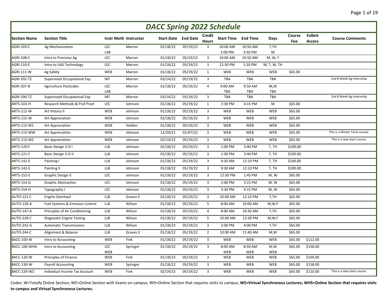| <b>DACC Spring 2022 Schedule</b> |                                  |            |                              |          |                            |                               |                            |                       |                   |               |                                 |                               |
|----------------------------------|----------------------------------|------------|------------------------------|----------|----------------------------|-------------------------------|----------------------------|-----------------------|-------------------|---------------|---------------------------------|-------------------------------|
| <b>Section Name</b>              | <b>Section Title</b>             |            | <b>Instr Meth Instructor</b> |          | <b>Start Date</b> End Date | <b>Credit</b><br><b>Hours</b> | <b>Start Time End Time</b> |                       | Days              | Course<br>Fee | <b>Follett</b><br><b>Access</b> | <b>Course Comments</b>        |
| <b>AGRI-103-C</b>                | Ag Mechanization                 | <b>LEC</b> | Marron                       | 01/18/22 | 05/19/22                   | 3                             | 10:00 AM                   | 10:50 AM              | T,TH              |               |                                 |                               |
| <b>AGRI-108-C</b>                | Intro to Precision Ag            | LAB<br>LEC | Marron                       | 01/18/22 | 05/19/22                   | 3                             | 2:00 PM<br>10:00 AM        | 3:50 PM<br>10:50 AM   | M<br>M, W, F      |               |                                 |                               |
| <b>AGRI-110-E</b>                | Intro to UAS Technology          | LEC        | Marron                       | 01/18/22 | 05/19/22                   | 3                             | 12:30 PM                   | 1:20 PM               | M, T, W, TH       |               |                                 |                               |
| <b>AGRI-111-W</b>                | Ag Safety                        | WEB        | Marron                       | 01/18/22 | 05/19/22                   | $\mathbf{1}$                  | <b>WEB</b>                 | WEB                   | <b>WEB</b>        | \$65.00       |                                 |                               |
| <b>AGRI-202-TZ</b>               | Supervised Occupational Exp.     | <b>INT</b> | Marron                       | 03/14/22 | 05/19/22                   | 3                             | <b>TBA</b>                 | <b>TBA</b>            | <b>TBA</b>        |               |                                 | 2nd 8 Week Ag Internship      |
|                                  |                                  |            |                              |          |                            |                               |                            |                       |                   |               |                                 |                               |
| <b>AGRI-207-B</b>                | <b>Agriculture Pesticides</b>    | LEC<br>LAB | Marron                       | 01/18/22 | 05/19/22                   | $\overline{4}$                | 9:00 AM<br>TBA             | 9:50 AM<br><b>TBA</b> | M.W<br><b>TBA</b> |               |                                 |                               |
| AGRI-290-TZ                      | Supervised Occupational Exp.     | INT        | Marron                       | 03/14/22 | 05/19/22                   | 3                             | TBA                        | TBA                   | <b>TBA</b>        |               |                                 | 2nd 8 Week Ag Internship      |
| <b>ARTS-103-H</b>                | Research Methods & Prof Pract    | LEC        | Johnson                      | 01/18/22 | 05/19/22                   | $\mathbf{1}$                  | 3:30 PM                    | 4:15 PM               | M                 | \$65.00       |                                 |                               |
| <b>ARTS-112-W</b>                | Art History II                   | WEB        | Johnson                      | 01/18/22 | 05/19/22                   | 3                             | <b>WEB</b>                 | WEB                   | <b>WEB</b>        | \$65.00       |                                 |                               |
| <b>ARTS-115-W</b>                | Art Appreciation                 | WEB        | Johnson                      | 01/18/22 | 05/19/22                   | 3                             | <b>WEB</b>                 | WEB                   | <b>WEB</b>        | \$65.00       |                                 |                               |
| ARTS-115-W1                      | <b>Art Appreciation</b>          | WEB        | Holden                       | 01/18/22 | 05/19/22                   | $\overline{3}$                | WEB                        | <b>WEB</b>            | WEB               | \$65.00       |                                 |                               |
| <b>ARTS-115-WW</b>               | Art Appreciation                 | WEB        | Johnson                      | 12/20/21 | 01/07/22                   | 3                             | WEB                        | WEB                   | <b>WEB</b>        | \$65.00       |                                 | This is a Winter Term course. |
| <b>ARTS-115-WZ</b>               | Art Appreciation                 | WEB        | Johnson                      | 02/14/22 | 05/19/22                   | 3                             | <b>WEB</b>                 | WEB                   | <b>WEB</b>        | \$65.00       |                                 | This is a late-start course.  |
| <b>ARTS-120-F</b>                | Basic Design 3-D I               | <b>LLB</b> | Johnson                      | 01/18/22 | 05/19/22                   | 3                             | 1:00 PM                    | 3:40 PM               | T, TH             | \$100.00      |                                 |                               |
| ARTS-121-F                       | Basic Design 3-D II              | LLB        | Johnson                      | 01/18/22 | 05/19/22                   | 3                             | 1:00 PM                    | 3:40 PM               | T, TH             | \$100.00      |                                 |                               |
| ARTS-141-E                       | Painting I                       | LLB        | Johnson                      | 01/18/22 | 05/19/22                   | 3                             | 9:30 AM                    | 12:10 PM              | T, TH             | \$100.00      |                                 |                               |
| <b>ARTS-142-E</b>                | Painting II                      | LLB        | Johnson                      | 01/18/22 | 05/19/22                   | 3                             | 9:30 AM                    | 12:10 PM              | T, TH             | \$100.00      |                                 |                               |
| <b>ARTS-152-E</b>                | Graphic Design II                | LEC        | Johnson                      | 01/18/22 | 05/19/22                   | 3                             | 12:30 PM                   | 1:45 PM               | M, W              | \$65.00       |                                 |                               |
| ARTS-153-G                       | <b>Graphic Abstraction</b>       | LEC        | Johnson                      | 01/18/22 | 05/19/22                   | 3                             | 2:00 PM                    | 3:15 PM               | M, W              | \$65.00       |                                 |                               |
| ARTS-154-H                       | Typography I                     | LEC        | Johnson                      | 01/18/22 | 05/19/22                   | 3                             | 3:30 PM                    | 4:15 PM               | M, W              | \$65.00       |                                 |                               |
| <b>AUTO-121-C</b>                | Engine Overhaul                  | LLB        | Graves II                    | 01/18/22 | 05/19/22                   | 3                             | 10:00 AM                   | 12:10 PM              | T,TH              | \$65.00       |                                 |                               |
| <b>AUTO-128-A</b>                | Fuel Systems & Emission Control  | LLB        | Wilson                       | 01/18/22 | 05/19/22                   | 5                             | 8:00 AM                    | 10:00 AM              | M, W, F           | \$65.00       |                                 |                               |
| <b>AUTO-147-A</b>                | Principles of Air Conditioning   | LLB        | Wilson                       | 01/18/22 | 05/19/22                   | $\overline{4}$                | 8:00 AM                    | 10:30 AM              | T,TH              | \$65.00       |                                 |                               |
| <b>AUTO-228-C</b>                | <b>Diagnostic Engine Testing</b> | LLB        | Wilson                       | 01/18/22 | 05/19/22                   | 5                             | 10:00 AM                   | 12:30 PM              | M, W, F           | \$65.00       |                                 |                               |
| <b>AUTO-242-G</b>                | <b>Automatic Transmissions</b>   | LLB        | Wilson                       | 01/18/22 | 05/19/22                   | 3                             | 2:00 PM                    | 4:00 PM               | T,TH              | \$65.00       |                                 |                               |
| AUTO-244-C                       | Alignment & Balance              | LLB        | Graves II                    | 01/18/22 | 05/19/22                   | $\overline{2}$                | 10:00 AM                   | 11:40 AM              | M,W               | \$65.00       |                                 |                               |
| <b>BACC-100-W</b>                | Intro to Accounting              | WEB        | Fink                         | 01/18/22 | 05/19/22                   | 3                             | WEB                        | WEB                   | <b>WEB</b>        | \$65.00       | \$112.00                        |                               |
| BACC-100-WHA                     | Intro to Accounting              | <b>LEC</b> | Springer                     | 01/18/22 | 05/19/22                   | $\overline{3}$                | 8:00 AM                    | 8:50 AM               | M,W               | \$65.00       | \$158.00                        |                               |
|                                  |                                  | WEB        |                              |          |                            |                               | <b>WEB</b>                 | WEB                   | <b>WEB</b>        |               |                                 |                               |
| <b>BACC-120-W</b>                | Principles of Finance            | WEB        | Fink                         | 01/18/22 | 05/19/22                   | 3                             | WEB                        | WEB                   | WEB               | \$65.00       | \$104.00                        |                               |
| BACC-130-W                       | <b>Payroll Accounting</b>        | WEB        | Springer                     | 01/18/22 | 05/19/22                   | 3                             | WEB                        | WEB                   | <b>WEB</b>        | \$65.00       | \$158.00                        |                               |
| BACC-229-WZ                      | Individual Income Tax Account    | WEB        | Fink                         | 02/14/22 | 05/19/22                   | 3                             | WEB                        | <b>WEB</b>            | <b>WEB</b>        | \$65.00       | \$110.00                        | This is a late-start course.  |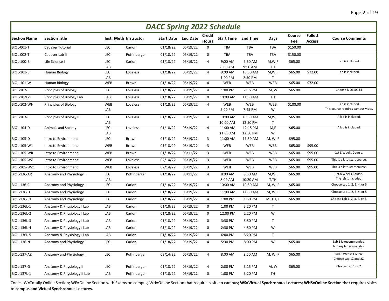| <b>DACC Spring 2022 Schedule</b> |                             |            |                              |                   |                 |                               |                            |                |                         |               |                                 |                                                    |
|----------------------------------|-----------------------------|------------|------------------------------|-------------------|-----------------|-------------------------------|----------------------------|----------------|-------------------------|---------------|---------------------------------|----------------------------------------------------|
| <b>Section Name</b>              | <b>Section Title</b>        |            | <b>Instr Meth Instructor</b> | <b>Start Date</b> | <b>End Date</b> | <b>Credit</b><br><b>Hours</b> | <b>Start Time End Time</b> |                | Days                    | Course<br>Fee | <b>Follett</b><br><b>Access</b> | <b>Course Comments</b>                             |
| <b>BIOL-001-T</b>                | Cadaver Tutorial            | LEC        | Carlon                       | 01/18/22          | 05/19/22        | 0                             | <b>TBA</b>                 | <b>TBA</b>     | <b>TBA</b>              | \$150.00      |                                 |                                                    |
| <b>BIOL-002-T</b>                | Cadaver Lab II              | LEC        | Poffinbarger                 | 01/18/22          | 05/19/22        | 0                             | TBA                        | TBA            | TBA                     | \$150.00      |                                 |                                                    |
| <b>BIOL-100-B</b>                | Life Science I              | LEC        | Carlon                       | 01/18/22          | 05/19/22        | 4                             | 9:00 AM                    | 9:50 AM        | M, W, F                 | \$65.00       |                                 | Lab is included.                                   |
|                                  |                             | LAB        |                              |                   |                 |                               | 8:00 AM                    | 9:50 AM        | TH                      |               |                                 |                                                    |
| <b>BIOL-101-B</b>                | Human Biology               | LEC        | Loveless                     | 01/18/22          | 05/19/22        | 4                             | 9:00 AM                    | 10:50 AM       | M, W, F                 | \$65.00       | \$72.00                         | Lab is included.                                   |
| <b>BIOL-101-W</b>                | Human Biology               | LAB<br>WEB | Brown                        | 01/18/22          | 05/19/22        | 4                             | 1:00 PM<br>WEB             | 2:50 PM<br>WEB | $\mathsf{T}$<br>WEB     | \$65.00       | \$72.00                         |                                                    |
| <b>BIOL-102-F</b>                | Principles of Biology       | LEC        | Loveless                     | 01/18/22          | 05/19/22        | $\overline{4}$                | 1:00 PM                    | 2:15 PM        | M, W                    | \$65.00       |                                 | Choose BIOL102 L1                                  |
| BIOL-102L-1                      | Principles of Biology Lab   | LAB        | Loveless                     | 01/18/22          | 05/19/22        | 0                             | 10:00 AM                   | 11:50 AM       | <b>TH</b>               |               |                                 |                                                    |
|                                  |                             |            |                              |                   |                 |                               |                            |                |                         |               |                                 | Lab is included.                                   |
| BIOL-102-WH                      | Principles of Biology       | WEB<br>LAB | Loveless                     | 01/18/22          | 05/19/22        | $\overline{4}$                | WEB<br>5:00 PM             | WEB<br>7:45 PM | WEB<br>W                | \$100.00      |                                 | This course requires campus visits.                |
| <b>BIOL-103-C</b>                | Principles of Biology II    | LEC        | Loveless                     | 01/18/22          |                 | $\overline{4}$                | 10:00 AM                   | 10:50 AM       |                         | \$65.00       |                                 | A lab is included.                                 |
|                                  |                             | LAB        |                              |                   | 05/19/22        |                               | 10:00 AM                   | 12:50 PM       | M, W, F<br>$\mathsf{T}$ |               |                                 |                                                    |
| <b>BIOL-104-D</b>                | Animals and Society         | LEC        | Loveless                     | 01/18/22          | 05/19/22        | $\overline{4}$                | 11:00 AM                   | 12:15 PM       | M,F                     | \$65.00       |                                 | A lab is included.                                 |
|                                  |                             | LAB        |                              |                   |                 |                               | 11:00 AM                   | 12:50 PM       | W                       |               |                                 |                                                    |
| <b>BIOL-105-D</b>                | Intro to Environment        | LEC        | Brown                        | 01/18/22          | 05/19/22        | $\overline{3}$                | 11:00 AM                   | 11:50 AM       | M, W, F                 | \$95.00       |                                 |                                                    |
| <b>BIOL-105-W1</b>               | Intro to Environment        | WEB        | Brown                        | 01/18/22          | 05/19/22        | 3                             | <b>WEB</b>                 | WEB            | <b>WEB</b>              | \$65.00       | \$95.00                         |                                                    |
| <b>BIOL-105-WR</b>               | Intro to Environment        | WEB        | Brown                        | 01/18/22          | 03/11/22        | 3                             | <b>WEB</b>                 | WEB            | WEB                     | \$65.00       | \$95.00                         | 1st 8 Weeks Course.                                |
| <b>BIOL-105-WZ</b>               | Intro to Environment        | WEB        | Loveless                     | 02/14/22          | 05/19/22        | 3                             | WEB                        | WEB            | WEB                     | \$65.00       | \$95.00                         | This is a late-start course.                       |
| <b>BIOL-105-WZ1</b>              | Intro to Environment        | WEB        | Loveless                     | 02/14/22          | 05/19/22        | 3                             | <b>WEB</b>                 | WEB            | WEB                     | \$65.00       | \$95.00                         | This is a late-start course.                       |
| BIOL-136-AR                      | Anatomy and Physiology I    | <b>LEC</b> | Poffinbarger                 | 01/18/22          | 03/11/22        | $\overline{4}$                | 8:00 AM                    | 9:50 AM        | M, W, F                 | \$65.00       |                                 | 1st 8 Weeks Course.                                |
|                                  |                             | LAB        |                              |                   |                 |                               | 8:00 AM                    | 10:20 AM       | T,TH                    |               |                                 | The lab is included.                               |
| <b>BIOL-136-C</b>                | Anatomy and Physiology I    | LEC        | Carlon                       | 01/18/22          | 05/19/22        | 4                             | 10:00 AM                   | 10:50 AM       | M, W, F                 | \$65.00       |                                 | Choose Lab 1, 2, 3, 4, or 5                        |
| <b>BIOL-136-D</b>                | Anatomy and Physiology I    | LEC        | Carlon                       | 01/18/22          | 05/19/22        | 4                             | 11:00 AM                   | 11:50 AM       | M, W, F                 | \$65.00       |                                 | Choose Lab 1, 2, 3, 4, or 5                        |
| <b>BIOL-136-F1</b>               | Anatomy and Physiology I    | LEC        | Carlon                       | 01/18/22          | 05/19/22        | $\overline{4}$                | 1:00 PM                    | 1:50 PM        | M, TH, F                | \$65.00       |                                 | Choose Lab 1, 2, 3, 4, or 5.                       |
| <b>BIOL-136L-1</b>               | Anatomy & Physiology I Lab  | LAB        | Carlon                       | 01/18/22          | 05/19/22        | 0                             | 1:00 PM                    | 3:20 PM        | $\mathsf T$             |               |                                 |                                                    |
| <b>BIOL-136L-2</b>               | Anatomy & Physiology I Lab  | LAB        | Carlon                       | 01/18/22          | 05/19/22        | 0                             | 12:00 PM                   | 2:20 PM        | W                       |               |                                 |                                                    |
| <b>BIOL-136L-3</b>               | Anatomy & Physiology I Lab  | LAB        | Carlon                       | 01/18/22          | 05/19/22        | $\mathsf{O}\phantom{0}$       | 3:30 PM                    | 5:50 PM        | $\mathsf{T}$            |               |                                 |                                                    |
| <b>BIOL-136L-4</b>               | Anatomy & Physiology I Lab  | LAB        | Carlon                       | 01/18/22          | 05/19/22        | 0                             | 2:30 PM                    | 4:50 PM        | W                       |               |                                 |                                                    |
| <b>BIOL-136L-5</b>               | Anatomy & Physiology I Lab  | LAB        | Carlon                       | 01/18/22          | 05/19/22        | 0                             | 6:00 PM                    | 8:20 PM        | $\mathsf{T}$            |               |                                 |                                                    |
| <b>BIOL-136-N</b>                | Anatomy and Physiology I    | LEC        | Carlon                       | 01/18/22          | 05/19/22        | $\overline{4}$                | 5:30 PM                    | 8:00 PM        | W                       | \$65.00       |                                 | Lab 5 is recommended,<br>but any lab is available. |
| <b>BIOL-137-AZ</b>               | Anatomy and Physiology II   | LEC        | Poffinbarger                 | 03/14/22          | 05/19/22        | $\overline{4}$                | 8:00 AM                    | 9:50 AM        | M, W, F                 | \$65.00       |                                 | 2nd 8 Weeks Course.<br>Choose Lab 1Z and 2Z.       |
| <b>BIOL-137-G</b>                | Anatomy & Physiology II     | LEC        | Poffinbarger                 | 01/18/22          | 05/19/22        | $\overline{4}$                | 2:00 PM                    | 3:15 PM        | M, W                    | \$65.00       |                                 | Choose Lab 1 or 2.                                 |
| <b>BIOL-137L-1</b>               | Anatomy & Physiology II Lab | LAB        | Poffinbarger                 | 01/18/22          | 05/19/22        | $\mathsf{O}\phantom{0}$       | 1:00 PM                    | 3:20 PM        | <b>TH</b>               |               |                                 |                                                    |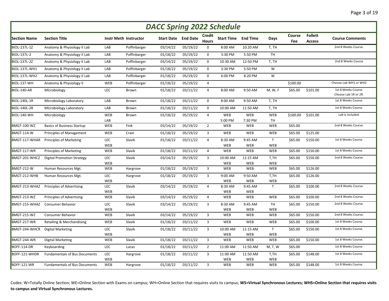| <b>DACC Spring 2022 Schedule</b> |                                      |                   |                              |          |                            |                               |                        |                 |                            |               |                                 |                                             |
|----------------------------------|--------------------------------------|-------------------|------------------------------|----------|----------------------------|-------------------------------|------------------------|-----------------|----------------------------|---------------|---------------------------------|---------------------------------------------|
| <b>Section Name</b>              | <b>Section Title</b>                 |                   | <b>Instr Meth Instructor</b> |          | <b>Start Date</b> End Date | <b>Credit</b><br><b>Hours</b> | <b>Start Time</b>      | <b>End Time</b> | Days                       | Course<br>Fee | <b>Follett</b><br><b>Access</b> | <b>Course Comments</b>                      |
| <b>BIOL-137L-1Z</b>              | Anatomy & Physiology II Lab          | LAB               | Poffinbarger                 | 03/14/22 | 05/19/22                   | 0                             | 8:00 AM                | 10:20 AM        | T, TH                      |               |                                 | 2nd 8 Weeks Course.                         |
| <b>BIOL-137L-2</b>               | Anatomy & Physiology II Lab          | LAB               | Poffinbarger                 | 01/18/22 | 05/19/22                   | 0                             | 3:30 PM                | 5:50 PM         | <b>TH</b>                  |               |                                 |                                             |
| <b>BIOL-137L-2Z</b>              | Anatomy & Physiology II Lab          | LAB               | Poffinbarger                 | 03/14/22 | 05/19/22                   | 0                             | 10:30 AM               | 12:50 PM        | T, TH                      |               |                                 | 2nd 8 Weeks Course                          |
| BIOL-137L-WH1                    | Anatomy & Physiology II Lab          | LAB               | Poffinbarger                 | 01/18/22 | 05/19/22                   | $\mathbf 0$                   | 3:30 PM                | 5:50 PM         | W                          |               |                                 |                                             |
| BIOL-137L-WH2                    | Anatomy & Physiology II Lab          | LAB               | Poffinbarger                 | 01/18/22 | 05/19/22                   | $\mathsf 0$                   | 6:00 PM                | 8:20 PM         | W                          |               |                                 |                                             |
| BIOL-137-WH                      | Anatomy & Physiology II              | WEB               | Poffinbarger                 | 01/18/22 | 05/19/22                   | $\overline{4}$                |                        |                 |                            | \$100.00      |                                 | Choose Lab WH1 or WH2                       |
| BIOL-140-AR                      | Microbiology                         | LEC               | Brown                        | 01/18/22 | 03/11/22                   | $\overline{4}$                | 8:00 AM                | 9:50 AM         | M, W, F                    | \$65.00       | \$101.00                        | 1st 8 Weeks Course.<br>Choose Lab 1R or 2R. |
| <b>BIOL-140L-1R</b>              | Microbiology Laboratory              | LAB               | Brown                        | 01/18/22 | 03/11/22                   | 0                             | 8:00 AM                | 9:50 AM         | T, TH                      |               |                                 | 1st 8 Weeks Course.                         |
| <b>BIOL-140L-2R</b>              | Microbiology Laboratory              | LAB               | Brown                        | 01/18/22 | 03/11/22                   | 0                             | 10:00 AM               | 11:50 AM        | T, TH                      |               |                                 | 1st 8 Weeks Course.                         |
| BIOL-140-WH                      | Microbiology                         | WEB<br>LAB        | Brown                        | 01/18/22 | 05/19/22                   | $\overline{4}$                | WEB<br>5:00 PM         | WEB<br>7:30 PM  | WEB<br>TH                  | \$100.00      | \$101.00                        | Lab is included.                            |
| <b>BMGT-100-WZ</b>               | <b>Basics of Business Startup</b>    | WEB               | Fink                         | 03/14/22 | 05/19/22                   | $\overline{2}$                | <b>WEB</b>             | WEB             | <b>WEB</b>                 | \$65.00       |                                 | 2nd 8 Weeks Course.                         |
| BMGT-114-W                       | Principles of Management             | WEB               | Crain                        | 01/18/22 | 05/19/22                   | 3                             | <b>WEB</b>             | WEB             | WEB                        | \$65.00       | \$125.00                        |                                             |
| BMGT-117-WHAR                    | <b>Principles of Marketing</b>       | LEC<br>WEB        | Slavik                       | 01/18/22 | 03/11/22                   | $\overline{4}$                | 8:30 AM<br><b>WEB</b>  | 9:45 AM<br>WEB  | $\mathsf{T}$<br><b>WEB</b> | \$65.00       | \$150.00                        | 1st 8 Weeks Course.                         |
| BMGT-117-WR                      | <b>Principles of Marketing</b>       | WEB               | Slavik                       | 01/18/22 | 03/11/22                   | $\overline{4}$                | <b>WEB</b>             | WEB             | WEB                        | \$65.00       | \$150.00                        | 1st 8 Weeks Course.                         |
| BMGT-201-WHCZ                    | <b>Digital Promotion Strategy</b>    | LEC<br>WEB        | Slavik                       | 03/14/22 | 05/19/22                   | 3                             | 10:00 AM<br><b>WEB</b> | 11:15 AM<br>WEB | T,TH<br>WEB                | \$65.00       | \$150.00                        | 2nd 8 Weeks Course.                         |
| <b>BMGT-212-W</b>                | Human Resources Mgt.                 | WEB               | Hargrove                     | 01/18/22 | 05/19/22                   | 3                             | WEB                    | WEB             | <b>WEB</b>                 | \$65.00       | \$126.00                        |                                             |
| BMGT-212-WHB                     | Human Resources Mgt.                 | LEC<br>WEB        | Hargrove                     | 01/18/22 | 05/19/22                   | 3                             | 9:00 AM<br><b>WEB</b>  | 9:50 AM<br>WEB  | T,TH<br>WEB                | \$65.00       | \$126.00                        |                                             |
| BMGT-213-WHAZ                    | <b>Principles of Advertising</b>     | LEC<br><b>WEB</b> | Slavik                       | 03/14/22 | 05/19/22                   | $\overline{4}$                | 8:30 AM<br>WEB         | 9:45 AM<br>WEB  | $\mathsf{T}$               | \$65.00       | \$100.00                        | 2nd 8 Weeks Course.                         |
| BMGT-213-WZ                      | <b>Principles of Advertising</b>     | WEB               | Slavik                       | 03/14/22 | 05/19/22                   | $\overline{4}$                | <b>WEB</b>             | WEB             | WEB                        | \$65.00       | \$100.00                        | 2nd 8 Weeks Course.                         |
| BMGT-215-WHAZ                    | <b>Consumer Behavior</b>             | LEC<br>WEB        | Slavik                       | 03/14/22 | 05/19/22                   | 3                             | 8:30 AM<br><b>WEB</b>  | 9:45 AM<br>WEB  | <b>TH</b><br><b>WEB</b>    | \$65.00       | \$150.00                        | 2nd 8 Weeks Course.                         |
| BMGT-215-WZ                      | Consumer Behavior                    | WEB               | Slavik                       | 03/14/22 | 05/19/22                   | 3                             | WEB                    | WEB             | WEB                        | \$65.00       | \$150.00                        | 2nd 8 Weeks Course.                         |
| BMGT-217-WR                      | Retailing & Merchandising            | WEB               | Slavik                       | 01/18/22 | 03/11/22                   | 3                             | <b>WEB</b>             | WEB             | WEB                        | \$65.00       | \$100.00                        | 1st 8 Weeks Course.                         |
| BMGT-244-WHCR                    | <b>Digital Marketing</b>             | LEC<br>WEB        | Slavik                       | 01/18/22 | 03/11/22                   | 3                             | 10:00 AM<br><b>WEB</b> | 11:15 AM<br>WEB | $\mathsf{T}$<br>WEB        | \$65.00       | \$150.00                        | 1st 8 Weeks Course.                         |
| BMGT-244-WR                      | <b>Digital Marketing</b>             | WEB               | Slavik                       | 01/18/22 | 03/11/22                   | 3                             | WEB                    | WEB             | <b>WEB</b>                 | \$65.00       | \$150.00                        | 1st 8 Weeks Course.                         |
| BOFF-114-DR                      | Keyboarding                          | LEC               | Lucas                        | 01/18/22 | 03/11/22                   | $\overline{2}$                | 11:00 AM               | 11:50 AM        | M, T, W                    | \$65.00       |                                 | 1st 8 Weeks Course.                         |
| BOFF-121-WHDR                    | <b>Fundamentals of Bus Documents</b> | LEC<br>WEB        | Hargrove                     | 01/18/22 | 03/11/22                   | 3                             | 11:00 AM<br><b>WEB</b> | 11:50 AM<br>WEB | T,TH<br>WEB                | \$65.00       | \$148.00                        | 1st 8 Weeks Course.                         |
| <b>BOFF-121-WR</b>               | <b>Fundamentals of Bus Documents</b> | <b>WEB</b>        | Hargrove                     | 01/18/22 | 03/11/22                   | $\overline{3}$                | <b>WEB</b>             | WEB             | <b>WEB</b>                 | \$65.00       | \$148.00                        | 1st 8 Weeks Course.                         |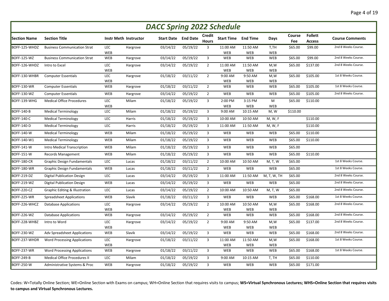| <b>DACC Spring 2022 Schedule</b> |                                           |                   |                              |          |                            |                               |                            |                |                   |               |                                 |                        |
|----------------------------------|-------------------------------------------|-------------------|------------------------------|----------|----------------------------|-------------------------------|----------------------------|----------------|-------------------|---------------|---------------------------------|------------------------|
| <b>Section Name</b>              | <b>Section Title</b>                      |                   | <b>Instr Meth Instructor</b> |          | <b>Start Date</b> End Date | <b>Credit</b><br><b>Hours</b> | <b>Start Time End Time</b> |                | Days              | Course<br>Fee | <b>Follett</b><br><b>Access</b> | <b>Course Comments</b> |
| BOFF-125-WHDZ                    | <b>Business Communication Strat</b>       | <b>LEC</b>        | Hargrove                     | 03/14/22 | 05/19/22                   | 3                             | 11:00 AM                   | 11:50 AM       | T,TH              | \$65.00       | \$99.00                         | 2nd 8 Weeks Course.    |
|                                  |                                           | WEB               |                              |          |                            |                               | <b>WEB</b>                 | WEB            | <b>WEB</b>        |               |                                 |                        |
| <b>BOFF-125-WZ</b>               | <b>Business Communication Strat</b>       | WEB               | Hargrove                     | 03/14/22 | 05/19/22                   | 3                             | WEB                        | WEB            | WEB               | \$65.00       | \$99.00                         | 2nd 8 Weeks Course.    |
| BOFF-126-WHDZ                    | Intro to Excel                            | <b>LEC</b>        | Hargrove                     | 03/14/22 | 05/19/22                   | $\overline{2}$                | 11:00 AM                   | 11:50 AM       | M,W               | \$65.00       | \$137.00                        | 2nd 8 Weeks Course.    |
| BOFF-130-WHBR                    | <b>Computer Essentials</b>                | WEB<br><b>LEC</b> | Hargrove                     | 01/18/22 | 03/11/22                   | $\overline{2}$                | <b>WEB</b><br>9:00 AM      | WEB<br>9:50 AM | <b>WEB</b><br>M,W | \$65.00       | \$105.00                        | 1st 8 Weeks Course.    |
|                                  |                                           | <b>WEB</b>        |                              |          |                            |                               | WEB                        | WEB            | <b>WEB</b>        |               |                                 |                        |
| BOFF-130-WR                      | <b>Computer Essentials</b>                | WEB               | Hargrove                     | 01/18/22 | 03/11/22                   | $\overline{2}$                | WEB                        | WEB            | WEB               | \$65.00       | \$105.00                        | 1st 8 Weeks Course.    |
| BOFF-130-WZ                      | <b>Computer Essentials</b>                | WEB               | Hargrove                     | 03/14/22 | 05/19/22                   | $\overline{2}$                | WEB                        | WEB            | <b>WEB</b>        | \$65.00       | \$105.00                        | 2nd 8 Weeks Course.    |
| BOFF-139-WHG                     | <b>Medical Office Procedures</b>          | LEC               | Milam                        | 01/18/22 | 05/19/22                   | 3                             | 2:00 PM                    | 3:15 PM        | M                 | \$65.00       | \$110.00                        |                        |
|                                  |                                           | WEB               |                              |          |                            |                               | WEB                        | WEB            | <b>WEB</b>        |               |                                 |                        |
| <b>BOFF-140-B</b>                | <b>Medical Terminology</b>                | LEC               | Milam                        | 01/18/22 | 05/19/22                   | 3                             | 9:00 AM                    | 10:15 AM       | M, W              | \$110.00      |                                 |                        |
| <b>BOFF-140-C</b>                | <b>Medical Terminology</b>                | LEC               | Harris                       | 01/18/22 | 05/19/22                   | 3                             | 10:00 AM                   | 10:50 AM       | M, W, F           |               | \$110.00                        |                        |
| <b>BOFF-140-D</b>                | <b>Medical Terminology</b>                | LEC               | Harris                       | 01/18/22 | 05/19/22                   | 3                             | 11:00 AM                   | 11:50 AM       | M, W, F           |               | \$110.00                        |                        |
| <b>BOFF-140-W</b>                | <b>Medical Terminology</b>                | WEB               | Milam                        | 01/18/22 | 05/19/22                   | $\mathbf{3}$                  | <b>WEB</b>                 | WEB            | WEB               | \$65.00       | \$110.00                        |                        |
| BOFF-140-W1                      | <b>Medical Terminology</b>                | WEB               | Milam                        | 01/18/22 | 05/19/22                   | 3                             | WEB                        | WEB            | WEB               | \$65.00       | \$110.00                        |                        |
| <b>BOFF-141-W</b>                | Intro Medical Transcription               | WEB               | Milam                        | 01/18/22 | 05/19/22                   | 3                             | <b>WEB</b>                 | WEB            | <b>WEB</b>        | \$65.00       |                                 |                        |
| <b>BOFF-151-W</b>                | <b>Records Management</b>                 | WEB               | Milam                        | 01/18/22 | 05/19/22                   | $\overline{3}$                | WEB                        | WEB            | WEB               | \$65.00       | \$110.00                        |                        |
| <b>BOFF-180-CR</b>               | <b>Graphic Design Fundamentals</b>        | LEC               | Lucas                        | 01/18/22 | 03/11/22                   | $\overline{2}$                | 10:00 AM                   | 10:50 AM       | M, T, W           | \$65.00       |                                 | 1st 8 Weeks Course.    |
| BOFF-180-WR                      | <b>Graphic Design Fundamentals</b>        | WEB               | Lucas                        | 01/18/22 | 03/11/22                   | $\overline{2}$                | <b>WEB</b>                 | WEB            | <b>WEB</b>        | \$65.00       |                                 | 1st 8 Weeks Course.    |
| BOFF-219-DZ                      | <b>Digital Publication Design</b>         | LEC               | Lucas                        | 03/14/22 | 05/19/22                   | $\mathbf{3}$                  | 11:00 AM                   | 11:50 AM       | M, T, W, TH       | \$65.00       |                                 | 2nd 8 Weeks Course.    |
| BOFF-219-WZ                      | <b>Digital Publication Design</b>         | WEB               | Lucas                        | 03/14/22 | 05/19/22                   | 3                             | <b>WEB</b>                 | WEB            | WEB               | \$65.00       |                                 | 2nd 8 Weeks Course.    |
| <b>BOFF-220-CZ</b>               | <b>Graphic Editing &amp; Illustration</b> | LEC               | Lucas                        | 03/14/22 | 05/19/22                   | $\overline{2}$                | 10:00 AM                   | 10:50 AM       | <b>M, T, W</b>    | \$65.00       |                                 | 2nd 8 Weeks Course.    |
| BOFF-225-WR                      | <b>Spreadsheet Applications</b>           | WEB               | Slavik                       | 01/18/22 | 03/11/22                   | $\mathbf{3}$                  | WEB                        | WEB            | <b>WEB</b>        | \$65.00       | \$168.00                        | 1st 8 Weeks Course.    |
| BOFF-226-WHCZ                    | <b>Database Applications</b>              | LEC               | Hargrove                     | 03/14/22 | 05/19/22                   | $\overline{2}$                | 10:00 AM                   | 10:50 AM       | M,W               | \$65.00       | \$168.00                        | 2nd 8 Weeks Course.    |
|                                  |                                           | WEB               |                              |          |                            |                               | <b>WEB</b>                 | WEB            | <b>WEB</b>        |               |                                 |                        |
| BOFF-226-WZ                      | <b>Database Applications</b>              | WEB               | Hargrove                     | 03/14/22 | 05/19/22                   | $\overline{2}$                | WEB                        | WEB            | WEB               | \$65.00       | \$168.00                        | 2nd 8 Weeks Course.    |
| BOFF-228-WHBZ                    | Intro to Word                             | LEC<br>WEB        | Hargrove                     | 03/14/22 | 05/19/22                   | $\overline{2}$                | 9:00 AM<br><b>WEB</b>      | 9:50 AM<br>WEB | M,W<br><b>WEB</b> | \$65.00       | \$137.00                        | 2nd 8 Weeks Course.    |
| BOFF-230-WZ                      | Adv Spreadsheet Applications              | WEB               | Slavik                       | 03/14/22 | 05/19/22                   | 3                             | WEB                        | WEB            | <b>WEB</b>        | \$65.00       | \$168.00                        | 2nd 8 Weeks Course.    |
| BOFF-237-WHDR                    | <b>Word Processing Applications</b>       | LEC               | Hargrove                     | 01/18/22 | 03/11/22                   | 3                             | 11:00 AM                   | 11:50 AM       | M,W               | \$65.00       | \$168.00                        | 1st 8 Weeks Course.    |
|                                  |                                           | WEB               |                              |          |                            |                               | WEB                        | WEB            | WEB               |               |                                 |                        |
| BOFF-237-WR                      | <b>Word Processing Applications</b>       | WEB               | Hargrove                     | 01/18/22 | 03/11/22                   | $\overline{3}$                | WEB                        | <b>WEB</b>     | WEB               | \$65.00       | \$168.00                        | 1st 8 Weeks Course.    |
| <b>BOFF-249-B</b>                | <b>Medical Office Procedures II</b>       | LEC               | Milam                        | 01/18/22 | 05/19/22                   | 3                             | 9:00 AM                    | 10:15 AM       | T, TH             | \$65.00       | \$110.00                        |                        |
| <b>BOFF-250-W</b>                | Administrative Systems & Proc             | WEB               | Hargrove                     | 01/18/22 | 05/19/22                   | 3                             | WEB                        | WEB            | <b>WEB</b>        | \$65.00       | \$171.00                        |                        |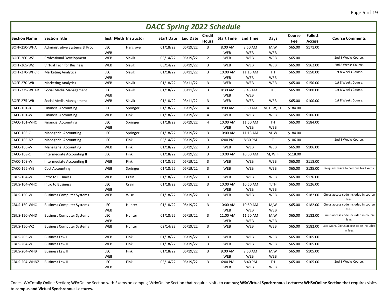| <b>DACC Spring 2022 Schedule</b> |                                  |            |                              |                   |                 |                |                            |            |                          |          |                |                                                    |
|----------------------------------|----------------------------------|------------|------------------------------|-------------------|-----------------|----------------|----------------------------|------------|--------------------------|----------|----------------|----------------------------------------------------|
| <b>Section Name</b>              | <b>Section Title</b>             |            | <b>Instr Meth Instructor</b> | <b>Start Date</b> | <b>End Date</b> | <b>Credit</b>  | <b>Start Time End Time</b> |            | Days                     | Course   | <b>Follett</b> | <b>Course Comments</b>                             |
|                                  |                                  |            |                              |                   |                 | <b>Hours</b>   |                            |            |                          | Fee      | <b>Access</b>  |                                                    |
| BOFF-250-WHA                     | Administrative Systems & Proc    | LEC        | Hargrove                     | 01/18/22          | 05/19/22        | 3              | 8:00 AM                    | 8:50 AM    | M,W                      | \$65.00  | \$171.00       |                                                    |
| <b>BOFF-260-WZ</b>               | Professional Development         | WEB<br>WEB | Slavik                       | 03/14/22          | 05/19/22        | $\overline{2}$ | <b>WEB</b><br>WEB          | WEB<br>WEB | <b>WEB</b><br>WEB        | \$65.00  |                | 2nd 8 Weeks Course.                                |
|                                  |                                  |            |                              |                   |                 |                |                            |            |                          |          |                | 2nd 8 Weeks Course.                                |
| BOFF-265-WZ                      | <b>Virtual Tech for Business</b> | WEB        | Slavik                       | 03/14/22          | 05/19/22        | 3              | WEB                        | WEB        | WEB                      | \$65.00  | \$162.00       |                                                    |
| BOFF-270-WHCR                    | <b>Marketing Analytics</b>       | LEC        | Slavik                       | 01/18/22          | 03/11/22        | $\overline{3}$ | 10:00 AM                   | 11:15 AM   | <b>TH</b>                | \$65.00  | \$150.00       | 1st 8 Weeks Course.                                |
| BOFF-270-WR                      | <b>Marketing Analytics</b>       | WEB<br>WEB | Slavik                       | 01/18/22          | 03/11/22        | 3              | <b>WEB</b><br>WEB          | WEB<br>WEB | <b>WEB</b><br><b>WEB</b> | \$65.00  | \$150.00       | 1st 8 Weeks Course.                                |
| BOFF-275-WHAR                    | Social Media Management          | LEC        | Slavik                       | 01/18/22          | 03/11/22        | 3              | 8:30 AM                    | 9:45 AM    | TH,                      | \$65.00  | \$100.00       | 1st 8 Weeks Course.                                |
|                                  |                                  | WEB        |                              |                   |                 |                | <b>WEB</b>                 | WEB        |                          |          |                |                                                    |
| BOFF-275-WR                      | Social Media Management          | WEB        | Slavik                       | 01/18/22          | 03/11/22        | $\overline{3}$ | WEB                        | WEB        | <b>WEB</b>               | \$65.00  | \$100.00       | 1st 8 Weeks Course.                                |
| CACC-101-B                       | <b>Financial Accounting</b>      | LEC        | Springer                     | 01/18/22          | 05/19/22        | $\overline{4}$ | 9:00 AM                    | 9:50 AM    | M, T, W, TH              | \$184.00 |                |                                                    |
| CACC-101-W                       | <b>Financial Accounting</b>      | WEB        | Fink                         | 01/18/22          | 05/19/22        | $\overline{4}$ | WEB                        | WEB        | WEB                      | \$65.00  | \$106.00       |                                                    |
| CACC-101-WHC                     | <b>Financial Accounting</b>      | LEC        | Springer                     | 01/18/22          | 05/19/22        | $\overline{4}$ | 10:00 AM                   | 11:50 AM   | <b>TH</b>                | \$65.00  | \$184.00       |                                                    |
|                                  |                                  | WEB        |                              |                   |                 |                | WEB                        | WEB        | <b>WEB</b>               |          |                |                                                    |
| CACC-105-C                       | <b>Managerial Accounting</b>     | LEC        | Springer                     | 01/18/22          | 05/19/22        | 3              | 10:00 AM                   | 11:15 AM   | M, W                     | \$184.00 |                |                                                    |
| <b>CACC-105-NZ</b>               | <b>Managerial Accounting</b>     | LEC        | Fink                         | 03/14/22          | 05/19/22        | 3              | 6:00 PM                    | 8:30 PM    | $\mathsf{T}$             | \$106.00 |                | 2nd 8 Weeks Course.                                |
| CACC-105-W                       | <b>Managerial Accounting</b>     | WEB        | Fink                         | 01/18/22          | 05/19/22        | 3              | WEB                        | WEB        | WEB                      | \$65.00  | \$106.00       |                                                    |
| CACC-109-C                       | Intermediate Accounting II       | LEC        | Fink                         | 01/18/22          | 05/19/22        | 3              | 10:00 AM                   | 10:50 AM   | M, W, F                  | \$118.00 |                |                                                    |
| CACC-109-W                       | Intermediate Accounting II       | <b>WEB</b> | Fink                         | 01/18/22          | 05/19/22        | 3              | <b>WEB</b>                 | WEB        | WEB                      | \$65.00  | \$118.00       |                                                    |
| CACC-166-WE                      | <b>Cost Accounting</b>           | <b>WEB</b> | Springer                     | 01/18/22          | 05/19/22        | 3              | <b>WEB</b>                 | WEB        | WEB                      | \$65.00  | \$135.00       | Requires visits to campus for Exams                |
| <b>CBUS-104-W</b>                | Intro to Business                | WEB        | Crain                        | 01/18/22          | 05/19/22        | $\overline{3}$ | WEB                        | WEB        | WEB                      | \$65.00  | \$126.00       |                                                    |
| CBUS-104-WHC                     | Intro to Business                | LEC        | Crain                        | 01/18/22          | 05/19/22        | $\overline{3}$ | 10:00 AM                   | 10:50 AM   | T,TH                     | \$65.00  | \$126.00       |                                                    |
|                                  |                                  | WEB        |                              |                   |                 |                | WEB                        | WEB        | <b>WEB</b>               |          |                |                                                    |
| CBUS-150-W                       | <b>Business Computer Systems</b> | <b>WEB</b> | Wise                         | 01/18/22          | 05/19/22        | $\overline{3}$ | <b>WEB</b>                 | WEB        | WEB                      | \$65.00  | \$182.00       | Cirrus access code included in course<br>fees.     |
| CBUS-150-WHC                     | <b>Business Computer Systems</b> | LEC        | Hunter                       | 01/18/22          | 05/19/22        | $\overline{3}$ | 10:00 AM                   | 10:50 AM   | M,W                      | \$65.00  | \$182.00       | Cirrus access code included in course              |
|                                  |                                  | WEB        |                              |                   |                 |                | <b>WEB</b>                 | WEB        | WEB                      |          |                | fees.                                              |
| CBUS-150-WHD                     | <b>Business Computer Systems</b> | LEC        | Hunter                       | 01/18/22          | 05/19/22        | $\overline{3}$ | 11:00 AM                   | 11:50 AM   | M,W                      | \$65.00  | \$182.00       | Cirrus access code included in course              |
|                                  |                                  | WEB        |                              |                   |                 |                | WEB                        | WEB        | WEB                      |          |                | fees.                                              |
| CBUS-150-WZ                      | <b>Business Computer Systems</b> | WEB        | Hunter                       | 02/14/22          | 05/19/22        | 3              | <b>WEB</b>                 | WEB        | WEB                      | \$65.00  | \$182.00       | Late Start. Cirrus access code included<br>in fees |
| <b>CBUS-203-W</b>                | <b>Business Law I</b>            | WEB        | Fink                         | 01/18/22          | 05/19/22        | 3              | WEB                        | WEB        | WEB                      | \$65.00  | \$105.00       |                                                    |
| <b>CBUS-204-W</b>                | <b>Business Law II</b>           | WEB        | Fink                         | 01/18/22          | 05/19/22        | 3              | WEB                        | WEB        | WEB                      | \$65.00  | \$105.00       |                                                    |
| CBUS-204-WHB                     | <b>Business Law II</b>           | <b>LEC</b> | Fink                         | 01/18/22          | 05/19/22        | 3              | 9:00 AM                    | 9:50 AM    | M,W                      | \$65.00  | \$105.00       |                                                    |
|                                  |                                  | WEB        |                              |                   |                 |                | WEB                        | WEB        | WEB                      |          |                |                                                    |
| CBUS-204-WHNZ                    | <b>Business Law II</b>           | LEC        | Fink                         | 03/14/22          | 05/19/22        | $\overline{3}$ | 6:00 PM                    | 8:40 PM    | <b>TH</b>                | \$65.00  | \$105.00       | 2nd 8 Weeks Course.                                |
|                                  |                                  | WEB        |                              |                   |                 |                | <b>WEB</b>                 | WEB        | WEB                      |          |                |                                                    |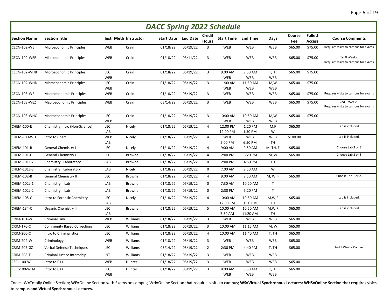| <b>DACC Spring 2022 Schedule</b> |                                    |                   |                              |                            |          |                        |                       |                       |                    |               |                                 |                                                     |
|----------------------------------|------------------------------------|-------------------|------------------------------|----------------------------|----------|------------------------|-----------------------|-----------------------|--------------------|---------------|---------------------------------|-----------------------------------------------------|
| <b>Section Name</b>              | <b>Section Title</b>               |                   | <b>Instr Meth Instructor</b> | <b>Start Date</b> End Date |          | Credit<br><b>Hours</b> | <b>Start Time</b>     | <b>End Time</b>       | Days               | Course<br>Fee | <b>Follett</b><br><b>Access</b> | <b>Course Comments</b>                              |
| <b>CECN-102-WE</b>               | Microeconomic Principles           | WEB               | Crain                        | 01/18/22                   | 05/19/22 | 3                      | <b>WEB</b>            | WEB                   | WEB                | \$65.00       | \$75.00                         | Requires visits to campus for exams                 |
| CECN-102-WER                     | Microeconomic Principles           | WEB               | Crain                        | 01/18/22                   | 03/11/22 | 3                      | WEB                   | WEB                   | WEB                | \$65.00       | \$75.00                         | 1st 8 Weeks.<br>Requires visits to campus for exams |
| CECN-102-WHB                     | Microeconomic Principles           | LEC<br>WEB        | Crain                        | 01/18/22                   | 05/19/22 | 3                      | 9:00 AM<br>WEB        | 9:50 AM<br>WEB        | T,TH<br>WEB        | \$65.00       | \$75.00                         |                                                     |
| CECN-102-WHD                     | Microeconomic Principles           | LEC<br>WEB        | Crain                        | 01/18/22                   | 05/19/22 | 3                      | 11:00 AM<br>WEB       | 11:50 AM<br>WEB       | M,W<br><b>WEB</b>  | \$65.00       | \$75.00                         |                                                     |
| CECN-103-WE                      | Macroeconomic Principles           | WEB               | Crain                        | 01/18/22                   | 05/19/22 | 3                      | WEB                   | WEB                   | WEB                | \$65.00       | \$75.00                         | Requires visits to campus for exams                 |
| CECN-103-WEZ                     | Macroeconomic Principles           | WEB               | Crain                        | 03/14/22                   | 05/19/22 | 3                      | WEB                   | WEB                   | <b>WEB</b>         | \$65.00       | \$75.00                         | 2nd 8 Weeks.<br>Requires visits to campus for exams |
| CECN-103-WHC                     | <b>Macroeconomic Principles</b>    | LEC<br>WEB        | Crain                        | 01/18/22                   | 05/19/22 | 3                      | 10:00 AM<br>WEB       | 10:50 AM<br>WEB       | M,W<br>WEB         | \$65.00       | \$75.00                         |                                                     |
| CHEM-100-E                       | Chemistry Intro (Non-Science)      | LEC<br>LAB        | Nicely                       | 01/18/22                   | 05/19/22 | $\overline{4}$         | 12:00 PM<br>12:00 PM  | 1:20 PM<br>1:50 PM    | M,F<br>W           | \$65.00       |                                 | Lab is included.                                    |
| CHEM-100-WH                      | Intro to Chem                      | WEB<br>LAB        | Nicely                       | 01/18/22                   | 05/19/22 | 4                      | <b>WEB</b><br>5:00 PM | WEB<br>6:50 PM        | WEB<br>TH          | \$100.00      |                                 | Lab is included.                                    |
| CHEM-101-B                       | <b>General Chemistry I</b>         | LEC               | Nicely                       | 01/18/22                   | 05/19/22 | 4                      | 9:00 AM               | 9:50 AM               | M, TH, F           | \$65.00       |                                 | Choose Lab 2 or 3                                   |
| CHEM-101-G                       | General Chemistry I                | LEC               | Browne                       | 01/18/22                   | 05/19/22 | 4                      | 2:00 PM               | 3:20 PM               | M, W               | \$65.00       |                                 | Choose Lab 2 or 3                                   |
| CHEM-101L-2                      | Chemistry I Laboratory             | LAB               | Browne                       | 01/18/22                   | 05/19/22 | 0                      | 2:00 PM               | 4:50 PM               | <b>TH</b>          |               |                                 |                                                     |
| CHEM-101L-3                      | Chemistry I Laboratory             | LAB               | Nicely                       | 01/18/22                   | 05/19/22 | 0                      | 7:00 AM               | 9:50 AM               | W                  |               |                                 |                                                     |
| CHEM-102-B                       | <b>General Chemistry II</b>        | LEC               | Browne                       | 01/18/22                   | 05/19/22 | 4                      | 9:00 AM               | 9:50 AM               | M, W, F            | \$65.00       |                                 | Choose Lab 1 or 2.                                  |
| CHEM-102L-1                      | Chemistry II Lab                   | LAB               | Browne                       | 01/18/22                   | 05/19/22 | $\mathbf 0$            | 7:30 AM               | 10:20 AM              | $\mathsf{T}$       |               |                                 |                                                     |
| CHEM-102L-2                      | Chemistry II Lab                   | LAB               | Browne                       | 01/18/22                   | 05/19/22 | 0                      | 2:30 PM               | 5:20 PM               | $\mathsf{T}$       |               |                                 |                                                     |
| CHEM-105-C                       | Intro to Forensic Chemistry        | LEC<br>LAB        | Nicely                       | 01/18/22                   | 05/19/22 | 4                      | 10:00 AM<br>12:00 PM  | 10:50 AM<br>1:50 PM   | M, W, F<br>TH      | \$65.00       |                                 | Lab is included.                                    |
| CHEM-134-C                       | <b>Organic Chemistry II</b>        | LEC<br>LAB        | Browne                       | 01/18/22                   | 05/19/22 | 5                      | 10:00 AM<br>7:30 AM   | 10:50 AM<br>11:20 AM  | M,W,F<br>TH        | \$65.00       |                                 | Lab is included.                                    |
| CRIM-101-W                       | <b>Criminal Law</b>                | WEB               | Williams                     | 01/18/22                   | 05/19/22 | 3                      | WEB                   | WEB                   | WEB                | \$65.00       |                                 |                                                     |
| CRIM-170-C                       | <b>Community Based Corrections</b> | LEC               | Williams                     | 01/18/22                   | 05/19/22 | 3                      | 10:00 AM              | 11:15 AM              | M, W               | \$65.00       |                                 |                                                     |
| CRIM-200-C                       | Intro to Criminalistics            | LEC               | Williams                     | 01/18/22                   | 05/19/22 | 4                      | 10:00 AM              | 11:40 AM              | T, TH              | \$65.00       |                                 |                                                     |
| CRIM-204-W                       | Criminology                        | WEB               | Williams                     | 01/18/22                   | 05/19/22 | 3                      | <b>WEB</b>            | WEB                   | WEB                | \$65.00       |                                 |                                                     |
| CRIM-207-GZ                      | Verbal Defense Techniques          | LEC               | Williams                     | 03/14/22                   | 05/19/22 | $\overline{2}$         | 2:30 PM               | 4:40 PM               | T, TH              | \$65.00       |                                 | 2nd 8 Weeks Course.                                 |
| <b>CRIM-208-T</b>                | Criminal Justice Internship        | INT               | Williams                     | 01/18/22                   | 05/19/22 | 3                      | WEB                   | WEB                   | WEB                |               |                                 |                                                     |
| CSCI-100-W                       | Intro to C++                       | WEB               | Hunter                       | 01/18/22                   | 05/19/22 | 3                      | WEB                   | WEB                   | WEB                | \$65.00       |                                 |                                                     |
| CSCI-100-WHA                     | Intro to C++                       | LEC<br><b>WEB</b> | Hunter                       | 01/18/22                   | 05/19/22 | $\overline{3}$         | 8:00 AM<br><b>WEB</b> | 8:50 AM<br><b>WEB</b> | T,TH<br><b>WEB</b> | \$65.00       |                                 |                                                     |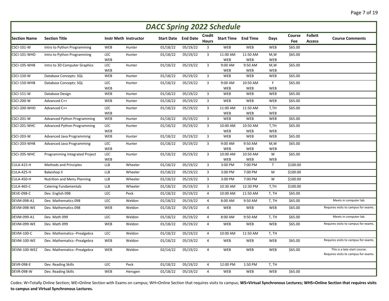| <b>DACC Spring 2022 Schedule</b> |                                    |                   |                              |          |                            |                        |                            |                 |                 |               |                                 |                                                                      |
|----------------------------------|------------------------------------|-------------------|------------------------------|----------|----------------------------|------------------------|----------------------------|-----------------|-----------------|---------------|---------------------------------|----------------------------------------------------------------------|
| <b>Section Name</b>              | <b>Section Title</b>               |                   | <b>Instr Meth Instructor</b> |          | <b>Start Date</b> End Date | Credit<br><b>Hours</b> | <b>Start Time End Time</b> |                 | Days            | Course<br>Fee | <b>Follett</b><br><b>Access</b> | <b>Course Comments</b>                                               |
| <b>CSCI-101-W</b>                | Intro to Python Programming        | WEB               | Hunter                       | 01/18/22 | 05/19/22                   | 3                      | WEB                        | WEB             | <b>WEB</b>      | \$65.00       |                                 |                                                                      |
| CSCI-101-WHD                     | Intro to Python Programming        | LEC<br><b>WEB</b> | Hunter                       | 01/18/22 | 05/19/22                   | $\overline{3}$         | 11:00 AM<br><b>WEB</b>     | 11:50 AM<br>WEB | M,W<br>WEB      | \$65.00       |                                 |                                                                      |
| CSCI-105-WHB                     | Intro to 3D Computer Graphics      | LEC<br>WEB        | Hunter                       | 01/18/22 | 05/19/22                   | $\overline{3}$         | 9:00 AM<br><b>WEB</b>      | 9:50 AM<br>WEB  | M,W<br>WEB      | \$65.00       |                                 |                                                                      |
| <b>CSCI-150-W</b>                | Database Concepts: SQL             | WEB               | Hunter                       | 01/18/22 | 05/19/22                   | 3                      | WEB                        | WEB             | WEB             | \$65.00       |                                 |                                                                      |
| CSCI-150-WHB                     | Database Concepts: SQL             | LEC<br>WEB        | Hunter                       | 01/18/22 | 05/19/22                   | 3                      | 9:00 AM<br><b>WEB</b>      | 10:50 AM<br>WEB | F<br><b>WEB</b> | \$65.00       |                                 |                                                                      |
| <b>CSCI-151-W</b>                | Database Design                    | WEB               | Hunter                       | 01/18/22 | 05/19/22                   | $\overline{3}$         | WEB                        | WEB             | <b>WEB</b>      | \$65.00       |                                 |                                                                      |
| <b>CSCI-200-W</b>                | Advanced C++                       | WEB               | Hunter                       | 01/18/22 | 05/19/22                   | $\overline{3}$         | WEB                        | WEB             | WEB             | \$65.00       |                                 |                                                                      |
| CSCI-200-WHD                     | Advanced C++                       | LEC<br>WEB        | Hunter                       | 01/18/22 | 05/19/22                   | $\overline{3}$         | 11:00 AM<br>WEB            | 11:50 AM<br>WEB | T,TH<br>WEB     | \$65.00       |                                 |                                                                      |
| <b>CSCI-201-W</b>                | Advanced Python Programming        | WEB               | Hunter                       | 01/18/22 | 05/19/22                   | $\overline{3}$         | WEB                        | WEB             | <b>WEB</b>      | \$65.00       |                                 |                                                                      |
| CSCI-201-WHC                     | <b>Advanced Python Programming</b> | LEC<br>WEB        | Hunter                       | 01/18/22 | 05/19/22                   | $\overline{3}$         | 10:00 AM<br>WEB            | 10:50 AM<br>WEB | T,TH<br>WEB     | \$65.00       |                                 |                                                                      |
| <b>CSCI-203-W</b>                | Advanced Java Programming          | WEB               | Hunter                       | 01/18/22 | 05/19/22                   | $\overline{3}$         | WEB                        | WEB             | WEB             | \$65.00       |                                 |                                                                      |
| CSCI-203-WHB                     | Advanced Java Programming          | LEC<br>WEB        | Hunter                       | 01/18/22 | 05/19/22                   | $\overline{3}$         | 9:00 AM<br><b>WEB</b>      | 9:50 AM<br>WEB  | M,W<br>WEB      | \$65.00       |                                 |                                                                      |
| CSCI-205-WHC                     | Programming Integrated Project     | LEC<br>WEB        | Hunter                       | 01/18/22 | 05/19/22                   | $\overline{3}$         | 10:00 AM<br><b>WEB</b>     | 10:50 AM<br>WEB | W<br>WEB        | \$65.00       |                                 |                                                                      |
| <b>CULA-415-H</b>                | <b>Methods and Principles</b>      | LLB               | Wheeler                      | 01/18/22 | 05/19/22                   | $\overline{3}$         | 3:00 PM                    | 7:00 PM         | $\mathsf{T}$    | \$100.00      |                                 |                                                                      |
| <b>CULA-425-H</b>                | Bakeshop II                        | <b>LLB</b>        | Wheeler                      | 01/18/22 | 05/19/22                   | $\overline{3}$         | 3:00 PM                    | 7:00 PM         | M               | \$100.00      |                                 |                                                                      |
| <b>CULA-450-H</b>                | <b>Nutrition and Menu Planning</b> | <b>LLB</b>        | Wheeler                      | 01/18/22 | 05/19/22                   | $\overline{3}$         | 3:00 PM                    | 7:00 PM         | W               | \$100.00      |                                 |                                                                      |
| <b>CULA-465-C</b>                | <b>Catering Fundamentals</b>       | <b>LLB</b>        | Wheeler                      | 01/18/22 | 05/19/22                   | $\overline{3}$         | 10:30 AM                   | 12:30 PM        | T,TH            | \$100.00      |                                 |                                                                      |
| <b>DEVE-098-C</b>                | Dev. English 098                   | LEC               | Peck                         | 01/18/22 | 05/19/22                   | $\overline{4}$         | 10:00 AM                   | 11:50 AM        | T, TH           | \$65.00       |                                 |                                                                      |
| DEVM-098-A1                      | Dev. Mathematics 098               | LEC               | Weldon                       | 01/18/22 | 05/19/22                   | $\overline{4}$         | 8:00 AM                    | 9:50 AM         | T, TH           | \$65.00       |                                 | Meets in computer lab.                                               |
| DEVM-098-WE                      | Dev. Mathematics 098               | WEB               | Weldon                       | 01/18/22 | 05/19/22                   | $\overline{4}$         | WEB                        | WEB             | WEB             | \$65.00       |                                 | Requires visits to campus for exams.                                 |
| DEVM-099-A1                      | Dev. Math 099                      | <b>LEC</b>        | Weldon                       | 01/18/22 | 05/19/22                   | $\overline{4}$         | 8:00 AM                    | 9:50 AM         | T, TH           | \$65.00       |                                 | Meets in computer lab.                                               |
| DEVM-099-WE                      | Dev. Math 099                      | WEB               | Weldon                       | 01/18/22 | 05/19/22                   | 4                      | WEB                        | WEB             | WEB             | \$65.00       |                                 | Requires visits to campus for exams.                                 |
| <b>DEVM-100-C</b>                | Dev. Mathematics--Prealgebra       | LEC               | Weldon                       | 01/18/22 | 05/19/22                   | $\overline{4}$         | 10:00 AM                   | 11:50 AM        | T, TH           |               |                                 |                                                                      |
| DEVM-100-WE                      | Dev. Mathematics--Prealgebra       | WEB               | Weldon                       | 01/18/22 | 05/19/22                   | $\overline{4}$         | WEB                        | WEB             | WEB             | \$65.00       |                                 | Requires visits to campus for exams.                                 |
| DEVM-100-WEZ                     | Dev. Mathematics--Prealgebra       | WEB               | Weldon                       | 02/14/22 | 05/19/22                   | $\overline{4}$         | WEB                        | WEB             | WEB             | \$65.00       |                                 | This is a late-start course.<br>Requires visits to campus for exams. |
| <b>DEVR-098-E</b>                | Dev. Reading Skills                | LEC               | Peck                         | 01/18/22 | 05/19/22                   | $\overline{4}$         | 12:00 PM                   | 1:50 PM         | T, TH           |               |                                 |                                                                      |
| <b>DEVR-098-W</b>                | Dev. Reading Skills                | WEB               | Hensgen                      | 01/18/22 | 05/19/22                   | $\overline{4}$         | WEB                        | WEB             | <b>WEB</b>      | \$65.00       |                                 |                                                                      |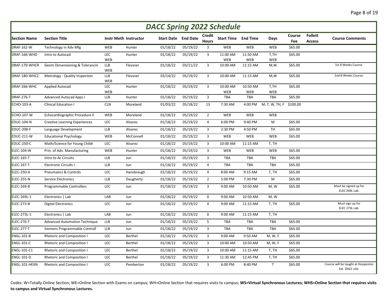| <b>DACC Spring 2022 Schedule</b> |                                      |                   |                              |                   |                 |                               |                            |                 |                |               |                                 |                                                       |
|----------------------------------|--------------------------------------|-------------------|------------------------------|-------------------|-----------------|-------------------------------|----------------------------|-----------------|----------------|---------------|---------------------------------|-------------------------------------------------------|
| <b>Section Name</b>              | <b>Section Title</b>                 |                   | <b>Instr Meth Instructor</b> | <b>Start Date</b> | <b>End Date</b> | <b>Credit</b><br><b>Hours</b> | <b>Start Time End Time</b> |                 | Days           | Course<br>Fee | <b>Follett</b><br><b>Access</b> | <b>Course Comments</b>                                |
| <b>DRAF-162-W</b>                | Technology in Adv Mfg                | WEB               | Hunter                       | 01/18/22          | 05/19/22        | 3                             | WEB                        | WEB             | <b>WEB</b>     | 565.00        |                                 |                                                       |
| DRAF-166-WHD                     | Intro to Autocad                     | <b>LEC</b><br>WEB | Hunter                       | 01/18/22          | 05/19/22        | 3                             | 11:00 AM<br><b>WEB</b>     | 11:50 AM<br>WEB | T,TH<br>WEB    | \$65.00       |                                 |                                                       |
| DRAF-170-WHCR                    | Geom Dimensioning & Tolerancin       | <b>LLB</b><br>WEB | Flessner                     | 01/18/22          | 03/11/22        | 3                             | 10:00 AM                   | 11:15 AM        | M,W            | \$65.00       |                                 | 1st 8 Weeks Course.                                   |
| DRAF-180-WHCZ                    | Metrology - Quality Inspection       | <b>LLB</b><br>WEB | Flessner                     | 03/14/22          | 05/19/22        | 3                             | 10:00 AM                   | 11:15 AM        | M,W            | \$65.00       |                                 | 2nd 8 Weeks Course.                                   |
| DRAF-266-WHC                     | <b>Applied Autocad</b>               | LEC<br>WEB        | Hunter                       | 01/18/22          | 05/19/22        | 3                             | 10:00 AM<br><b>WEB</b>     | 10:50 AM<br>WEB | T,TH<br>WEB    | \$65.00       |                                 |                                                       |
| DRAF-276-T                       | <b>Advanced Autocad Apps I</b>       | LLB               | Hunter                       | 01/18/22          | 05/19/22        | 3                             | <b>TBA</b>                 | TBA             | TBA            | \$65.00       |                                 |                                                       |
| <b>ECHO-103-A</b>                | <b>Clinical Education I</b>          | <b>CLN</b>        | Moreland                     | 01/03/22          | 05/18/22        | 13                            | 7:30 AM                    | 4:00 PM         | M, T, W, TH, F | \$100.00      |                                 |                                                       |
| <b>ECHO-107-W</b>                | Echocardiographic Procedure II       | WEB               | Moreland                     | 01/18/22          | 05/19/22        | $\overline{2}$                | WEB                        | WEB             | <b>WEB</b>     |               |                                 |                                                       |
| <b>EDUC-104-N</b>                | <b>Creative Learning Experiences</b> | LEC               | Alvarez                      | 01/18/22          | 05/19/22        | 4                             | 6:00 PM                    | 9:40 PM         | M              | \$65.00       |                                 |                                                       |
| <b>EDUC-208-F</b>                | Language Development                 | LLB               | Alvarez                      | 01/18/22          | 05/19/22        | 3                             | 2:30 PM                    | 4:50 PM         | <b>TH</b>      | \$65.00       |                                 |                                                       |
| <b>EDUC-211-W</b>                | <b>Educational Psychology</b>        | WEB               | McConnell                    | 01/18/22          | 05/19/22        | 3                             | <b>WEB</b>                 | WEB             | WEB            | \$65.00       |                                 |                                                       |
| <b>EDUC-250-C</b>                | Math/Science for Young Childr        | LEC               | Alvarez                      | 01/18/22          | 05/19/22        | $\overline{3}$                | 10:00 AM                   | 11:15 AM        | T, TH          |               |                                 |                                                       |
| <b>ELEC-104-W</b>                | Prin. of Adv. Manufacturing          | WEB               | Hunter                       | 01/18/22          | 05/19/22        | 3                             | <b>WEB</b>                 | WEB             | WEB            | \$65.00       |                                 |                                                       |
| ELEC-165-T                       | Intro to Ac Circuits                 | LLB               | Jun                          | 01/18/22          | 05/19/22        | $\overline{3}$                | <b>TBA</b>                 | TBA             | TBA            | \$65.00       |                                 |                                                       |
| <b>ELEC-167-T</b>                | <b>Electronic Circuits I</b>         | LLB               | Jun                          | 01/18/22          | 05/19/22        | $\overline{4}$                | <b>TBA</b>                 | <b>TBA</b>      | <b>TBA</b>     | \$65.00       |                                 |                                                       |
| ELEC-250-A                       | <b>Pneumatics &amp; Controls</b>     | LEC               | Hansbraugh                   | 01/18/22          | 05/19/22        | $\overline{4}$                | 8:00 AM                    | 9:15 AM         | T, TH          | \$65.00       |                                 |                                                       |
| ELEC-255-N                       | Service Electronics                  | LLB               | Daugherty                    | 01/18/22          | 05/19/22        | $\overline{2}$                | 5:00 PM                    | 7:30 PM         | M              | \$65.00       |                                 |                                                       |
| ELEC-269-B                       | Programmable Controllers             | <b>LEC</b>        | Jun                          | 01/18/22          | 05/19/22        | $\overline{3}$                | 9:00 AM                    | 10:50 AM        | M, W           | \$65.00       |                                 | Must be signed up for<br>ELEC 269L Lab.               |
| ELEC-269L-1                      | Electronics   Lab                    | LAB               | Jun                          | 01/18/22          | 05/19/22        | $\mathbf 0$                   | 9:00 AM                    | 10:50 AM        | M, W           |               |                                 |                                                       |
| ELEC-273-B                       | <b>Digital Electronics</b>           | <b>LEC</b>        | Jun                          | 01/18/22          | 05/19/22        | $\overline{4}$                | 9:00 AM                    | 11:15 AM        | T, TH          | \$65.00       |                                 | Must sign up for<br>ELEC 273L Lab.                    |
| <b>ELEC-273L-1</b>               | Electronics   Lab                    | LAB               | Jun                          | 01/18/22          | 05/19/22        | $\mathbf 0$                   | 9:00 AM                    | 11:15 AM        | T, TH          |               |                                 |                                                       |
| ELEC-276-T                       | <b>Advanced Automation Technique</b> | <b>LLB</b>        | Jun                          | 01/18/22          | 05/19/22        | 5                             | <b>TBA</b>                 | <b>TBA</b>      | <b>TBA</b>     | \$65.00       |                                 |                                                       |
| ELEC-277-T                       | Siemens Programmable Controll        | <b>LLB</b>        | Jun                          | 01/18/22          | 05/19/22        | 3                             | <b>TBA</b>                 | <b>TBA</b>      | TBA            | \$65.00       |                                 |                                                       |
| <b>ENGL-101-B</b>                | Rhetoric and Composition I           | <b>LEC</b>        | Berthel                      | 01/18/22          | 05/19/22        | 3                             | 9:00 AM                    | 9:50 AM         | M, W, F        | \$65.00       |                                 |                                                       |
| <b>ENGL-101-C</b>                | Rhetoric and Composition I           | LEC               | Berthel                      | 01/18/22          | 05/19/22        | 3                             | 10:00 AM                   | 10:50 AM        | M, W, F        | \$65.00       |                                 |                                                       |
| ENGL-101-C1                      | <b>Rhetoric and Composition I</b>    | LEC               | Berthel                      | 01/18/22          | 05/19/22        | 3                             | 10:00 AM                   | 11:15 AM        | T, TH          | \$65.00       |                                 |                                                       |
| <b>ENGL-101-D</b>                | Rhetoric and Composition I           | <b>LEC</b>        | Berthel                      | 01/18/22          | 05/19/22        | 3                             | 11:30 AM                   | 12:45 PM        | T, TH          | \$65.00       |                                 |                                                       |
| ENGL-101-HEXN                    | Rhetoric and Composition I           | LEC               | Pemberton                    | 01/18/22          | 05/19/22        | $\overline{3}$                | 6:00 PM                    | 8:40 PM         | $\mathsf{T}$   | \$65.00       |                                 | Course will be taught at Hoopeston<br>Ext. DACC site. |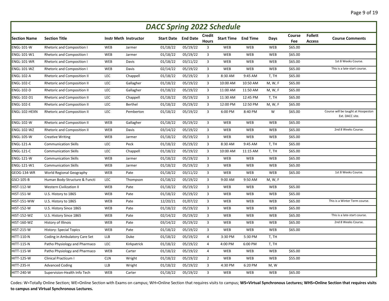| <b>DACC Spring 2022 Schedule</b> |                                    |            |                              |          |                            |                        |            |                            |            |               |                                 |                                                       |
|----------------------------------|------------------------------------|------------|------------------------------|----------|----------------------------|------------------------|------------|----------------------------|------------|---------------|---------------------------------|-------------------------------------------------------|
| <b>Section Name</b>              | <b>Section Title</b>               |            | <b>Instr Meth Instructor</b> |          | <b>Start Date</b> End Date | Credit<br><b>Hours</b> |            | <b>Start Time End Time</b> | Days       | Course<br>Fee | <b>Follett</b><br><b>Access</b> | <b>Course Comments</b>                                |
| <b>ENGL-101-W</b>                | <b>Rhetoric and Composition I</b>  | WEB        | Jarmer                       | 01/18/22 | 05/19/22                   | 3                      | WEB        | WEB                        | <b>WEB</b> | \$65.00       |                                 |                                                       |
| <b>ENGL-101-W1</b>               | <b>Rhetoric and Composition I</b>  | WEB        | Jarmer                       | 01/18/22 | 05/19/22                   | 3                      | WEB        | WEB                        | <b>WEB</b> | \$65.00       |                                 |                                                       |
| ENGL-101-WR                      | <b>Rhetoric and Composition I</b>  | WEB        | <b>Davis</b>                 | 01/18/22 | 03/11/22                   | 3                      | <b>WEB</b> | WEB                        | <b>WEB</b> | \$65.00       |                                 | 1st 8 Weeks Course.                                   |
| <b>ENGL-101-WZ</b>               | <b>Rhetoric and Composition I</b>  | WEB        | Davis                        | 02/14/22 | 05/19/22                   | 3                      | WEB        | WEB                        | WEB        | \$65.00       |                                 | This is a late-start course.                          |
| <b>ENGL-102-A</b>                | <b>Rhetoric and Composition II</b> | LEC        | Chappell                     | 01/18/22 | 05/19/22                   | 3                      | 8:30 AM    | 9:45 AM                    | T, TH      | \$65.00       |                                 |                                                       |
| <b>ENGL-102-C</b>                | Rhetoric and Composition II        | LEC        | Gallagher                    | 01/18/22 | 05/19/22                   | $\overline{3}$         | 10:00 AM   | 10:50 AM                   | M, W, F    | \$65.00       |                                 |                                                       |
| <b>ENGL-102-D</b>                | <b>Rhetoric and Composition II</b> | LEC        | Gallagher                    | 01/18/22 | 05/19/22                   | $\overline{3}$         | 11:00 AM   | 11:50 AM                   | M, W, F    | \$65.00       |                                 |                                                       |
| <b>ENGL-102-D1</b>               | Rhetoric and Composition II        | LEC        | Chappell                     | 01/18/22 | 05/19/22                   | $\overline{3}$         | 11:30 AM   | 12:45 PM                   | T, TH      | \$65.00       |                                 |                                                       |
| <b>ENGL-102-E</b>                | Rhetoric and Composition II        | LEC        | Berthel                      | 01/18/22 | 05/19/22                   | 3                      | 12:00 PM   | 12:50 PM                   | M, W, F    | \$65.00       |                                 |                                                       |
| ENGL-102-HEXN                    | <b>Rhetoric and Composition II</b> | LEC        | Pemberton                    | 01/18/22 | 05/19/22                   | 3                      | 6:00 PM    | 8:40 PM                    | W          | \$65.00       |                                 | Course will be taught at Hoopeston<br>Ext. DACC site. |
| <b>ENGL-102-W</b>                | <b>Rhetoric and Composition II</b> | WEB        | Gallagher                    | 01/18/22 | 05/19/22                   | $\overline{3}$         | WEB        | WEB                        | <b>WEB</b> | \$65.00       |                                 |                                                       |
| ENGL-102-WZ                      | <b>Rhetoric and Composition II</b> | WEB        | <b>Davis</b>                 | 03/14/22 | 05/19/22                   | 3                      | <b>WEB</b> | WEB                        | <b>WEB</b> | \$65.00       |                                 | 2nd 8 Weeks Course.                                   |
| <b>ENGL-105-W</b>                | <b>Creative Writing</b>            | WEB        | Jarmer                       | 01/18/22 | 05/19/22                   | 3                      | WEB        | WEB                        | WEB        | \$65.00       |                                 |                                                       |
| ENGL-121-A                       | <b>Communication Skills</b>        | LEC        | Peck                         | 01/18/22 | 05/19/22                   | 3                      | 8:30 AM    | 9:45 AM                    | T, TH      | \$65.00       |                                 |                                                       |
| <b>ENGL-121-C</b>                | <b>Communication Skills</b>        | LEC        | Chappell                     | 01/18/22 | 05/19/22                   | 3                      | 10:00 AM   | 11:15 AM                   | T, TH      | \$65.00       |                                 |                                                       |
| ENGL-121-W                       | <b>Communication Skills</b>        | WEB        | Jarmer                       | 01/18/22 | 05/19/22                   | $\overline{3}$         | WEB        | WEB                        | <b>WEB</b> | \$65.00       |                                 |                                                       |
| <b>ENGL-121-W1</b>               | <b>Communication Skills</b>        | WEB        | Jarmer                       | 01/18/22 | 05/19/22                   | $\overline{3}$         | <b>WEB</b> | WEB                        | WEB        | \$65.00       |                                 |                                                       |
| GEOG-134-WR                      | World Regional Geography           | WEB        | Pate                         | 01/18/22 | 03/11/22                   | 3                      | WEB        | WEB                        | <b>WEB</b> | \$65.00       |                                 | 1st 8 Weeks Course.                                   |
| GSCI-105-B                       | Human Body-Structure & Functi      | LEC        | Thompson                     | 01/18/22 | 05/19/22                   | 3                      | 9:00 AM    | 9:50 AM                    | M, W, F    |               |                                 |                                                       |
| <b>HIST-112-W</b>                | <b>Western Civilization II</b>     | WEB        | Pate                         | 01/18/22 | 05/19/22                   | 3                      | <b>WEB</b> | WEB                        | <b>WEB</b> | \$65.00       |                                 |                                                       |
| <b>HIST-151-W</b>                | U.S. History to 1865               | WEB        | Pate                         | 01/18/22 | 05/19/22                   | 3                      | WEB        | WEB                        | <b>WEB</b> | \$65.00       |                                 |                                                       |
| HIST-151-WW                      | U.S. History to 1865               | WEB        | Pate                         | 12/20/21 | 01/07/22                   | 3                      | WEB        | WEB                        | <b>WEB</b> | \$65.00       |                                 | This is a Winter Term course.                         |
| <b>HIST-152-W</b>                | U.S. History Since 1865            | WEB        | Pate                         | 01/18/22 | 05/19/22                   | 3                      | WEB        | WEB                        | <b>WEB</b> | \$65.00       |                                 |                                                       |
| HIST-152-WZ                      | U.S. History Since 1865            | WEB        | Pate                         | 02/14/22 | 05/19/22                   | 3                      | WEB        | WEB                        | <b>WEB</b> | \$65.00       |                                 | This is a late-start course.                          |
| <b>HIST-160-WZ</b>               | History of Illinois                | WEB        | Pate                         | 03/14/22 | 05/19/22                   | $\overline{3}$         | <b>WEB</b> | WEB                        | <b>WEB</b> | \$65.00       |                                 | 2nd 8 Weeks Course.                                   |
| <b>HIST-215-W</b>                | <b>History: Special Topics</b>     | WEB        | Pate                         | 01/18/22 | 05/19/22                   | 3                      | WEB        | WEB                        | <b>WEB</b> | \$65.00       |                                 |                                                       |
| <b>HITT-110-N</b>                | Coding in Ambulatory Care Set      | <b>LLB</b> | Duke                         | 01/18/22 | 05/19/22                   | 4                      | 3:30 PM    | 5:30 PM                    | T, TH      |               |                                 |                                                       |
| <b>HITT-115-N</b>                | Patho Physiology and Pharmaco      | LEC        | Kirkpatrick                  | 01/18/22 | 05/19/22                   | 4                      | 4:00 PM    | 6:00 PM                    | T, TH      |               |                                 |                                                       |
| <b>HITT-115-W</b>                | Patho Physiology and Pharmaco      | WEB        | Carter                       | 01/18/22 | 05/19/22                   | 4                      | WEB        | WEB                        | <b>WEB</b> | \$65.00       |                                 |                                                       |
| <b>HITT-125-W</b>                | Clinical Practicum I               | <b>CLN</b> | Wright                       | 01/18/22 | 05/19/22                   | $\overline{2}$         | WEB        | WEB                        | <b>WEB</b> | \$55.00       |                                 |                                                       |
| <b>HITT-235-H</b>                | <b>Advanced Coding</b>             | <b>LLB</b> | Wright                       | 01/18/22 | 05/19/22                   | 3                      | 4:30 PM    | 6:20 PM                    | M, W       |               |                                 |                                                       |
| <b>HITT-240-W</b>                | Supervision-Health Info Tech       | WEB        | Carter                       | 01/18/22 | 05/19/22                   | $\overline{3}$         | WEB        | WEB                        | <b>WEB</b> | \$65.00       |                                 |                                                       |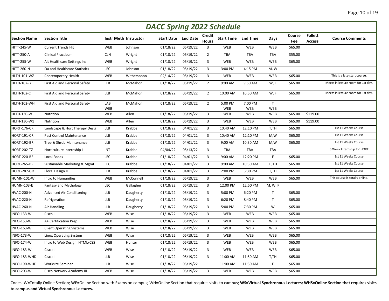|                     | <b>DACC Spring 2022 Schedule</b> |            |                              |                            |          |                         |                            |            |              |               |                          |                                    |  |  |
|---------------------|----------------------------------|------------|------------------------------|----------------------------|----------|-------------------------|----------------------------|------------|--------------|---------------|--------------------------|------------------------------------|--|--|
| <b>Section Name</b> | <b>Section Title</b>             |            | <b>Instr Meth Instructor</b> | <b>Start Date</b> End Date |          | Credit<br><b>Hours</b>  | <b>Start Time End Time</b> |            | Days         | Course<br>Fee | <b>Follett</b><br>Access | <b>Course Comments</b>             |  |  |
| HITT-245-W          | <b>Current Trends Hit</b>        | WEB        | Johnson                      | 01/18/22                   | 05/19/22 | 3                       | <b>WEB</b>                 | WEB        | <b>WEB</b>   | \$65.00       |                          |                                    |  |  |
| <b>HITT-250-A</b>   | Clinical Practicum III           | <b>CLN</b> | Wright                       | 01/18/22                   | 05/19/22 | $\overline{2}$          | TBA                        | TBA        | TBA          | \$55.00       |                          |                                    |  |  |
| <b>HITT-255-W</b>   | Alt Healthcare Settings Ins      | WEB        | Wright                       | 01/18/22                   | 05/19/22 | $\overline{3}$          | WEB                        | WEB        | WEB          | \$65.00       |                          |                                    |  |  |
| <b>HITT-260-N</b>   | Qa and Healthcare Statistics     | LEC        | Johnson                      | 01/18/22                   | 05/19/22 | 3                       | 3:00 PM                    | 4:15 PM    | M, W         |               |                          |                                    |  |  |
| <b>HLTH-101-WZ</b>  | Contemporary Health              | WEB        | Witherspoon                  | 02/14/22                   | 05/19/22 | $\overline{\mathbf{3}}$ | WEB                        | WEB        | WEB          | \$65.00       |                          | This is a late-start course.       |  |  |
| <b>HLTH-102-B</b>   | First Aid and Personal Safety    | <b>LLB</b> | McMahon                      | 01/18/22                   | 05/19/22 | $\overline{2}$          | 9:00 AM                    | 9:50 AM    | W, F         | \$65.00       |                          | Meets in lecture room for 1st day. |  |  |
| <b>HLTH-102-C</b>   | First Aid and Personal Safety    | <b>LLB</b> | McMahon                      | 01/18/22                   | 05/19/22 | $\overline{2}$          | 10:00 AM                   | 10:50 AM   | W, F         | \$65.00       |                          | Meets in lecture room for 1st day. |  |  |
| <b>HLTH-102-WH</b>  | First Aid and Personal Safety    | LAB        | McMahon                      | 01/18/22                   | 05/19/22 | $\overline{2}$          | 5:00 PM                    | 7:00 PM    | $\mathsf{T}$ |               |                          |                                    |  |  |
|                     |                                  | WEB        |                              |                            |          |                         | WEB                        | WEB        | WEB          |               |                          |                                    |  |  |
| <b>HLTH-130-W</b>   | Nutrition                        | WEB        | Allen                        | 01/18/22                   | 05/19/22 | $\overline{3}$          | WEB                        | WEB        | WEB          | \$65.00       | \$119.00                 |                                    |  |  |
| HLTH-130-W1         | Nutrition                        | WEB        | Allen                        | 01/18/22                   | 05/19/22 | $\overline{3}$          | WEB                        | WEB        | <b>WEB</b>   | \$65.00       | \$119.00                 |                                    |  |  |
| HORT-176-CR         | Landscape & Hort Therapy Desig   | <b>LLB</b> | Krabbe                       | 01/18/22                   | 04/01/22 | $\overline{3}$          | 10:40 AM                   | 12:10 PM   | T,TH         | \$65.00       |                          | 1st 11 Weeks Course                |  |  |
| HORT-191-CR         | Pest Control Maintenance         | <b>LLB</b> | Krabbe                       | 01/18/22                   | 04/01/22 | $\overline{3}$          | 10:40 AM                   | 12:10 PM   | M,W          | \$65.00       |                          | 1st 11 Weeks Course                |  |  |
| <b>HORT-192-BR</b>  | Tree & Shrub Maintenance         | <b>LLB</b> | Krabbe                       | 01/18/22                   | 04/01/22 | $\overline{3}$          | 9:00 AM                    | 10:30 AM   | M,W          | \$65.00       |                          | 1st 11 Weeks Course                |  |  |
| <b>HORT-202-TZ</b>  | Horticulture Internship I        | <b>INT</b> | Krabbe                       | 04/04/22                   | 05/13/22 | $\overline{3}$          | TBA                        | <b>TBA</b> | TBA          |               |                          | 6 Week Internship for HORT         |  |  |
| <b>HORT-220-BR</b>  | Local Foods                      | <b>LEC</b> | Krabbe                       | 01/18/22                   | 04/01/22 | $\overline{3}$          | 9:00 AM                    | 12:20 PM   | F.           | \$65.00       |                          | 1st 11 Weeks Course                |  |  |
| HORT-265-BR         | Sustainable Marketing & Mgmt     | LEC        | Krabbe                       | 01/18/22                   | 04/01/22 | $\overline{\mathbf{3}}$ | 9:00 AM                    | 10:30 AM   | T, TH        | \$65.00       |                          | 1st 11 Weeks Course                |  |  |
| <b>HORT-287-GR</b>  | Floral Design II                 | <b>LLB</b> | Krabbe                       | 01/18/22                   | 04/01/22 | $\overline{3}$          | 2:00 PM                    | 3:30 PM    | T,TH         | \$65.00       |                          | 1st 11 Weeks Course                |  |  |
| HUMN-101-W          | Intro to Humanities              | WEB        | McConnell                    | 01/18/22                   | 05/19/22 | $\overline{3}$          | WEB                        | WEB        | <b>WEB</b>   | \$65.00       |                          | This course is totally online.     |  |  |
| <b>HUMN-103-E</b>   | <b>Fantasy and Mythology</b>     | LEC        | Gallagher                    | 01/18/22                   | 05/19/22 | $\overline{3}$          | 12:00 PM                   | 12:50 PM   | M, W, F      |               |                          |                                    |  |  |
| <b>HVAC-200-N</b>   | <b>Advanced Air Condiitoning</b> | <b>LLB</b> | Daugherty                    | 01/18/22                   | 05/19/22 | $\overline{3}$          | 5:00 PM                    | 6:20 PM    | $\mathsf{T}$ | \$65.00       |                          |                                    |  |  |
| <b>HVAC-220-N</b>   | Refrigeration                    | <b>LLB</b> | Daugherty                    | 01/18/22                   | 05/19/22 | $\overline{3}$          | 6:20 PM                    | 8:40 PM    | $\mathsf{T}$ | \$65.00       |                          |                                    |  |  |
| <b>HVAC-260-N</b>   | Air Handling                     | <b>LLB</b> | Daugherty                    | 01/18/22                   | 05/19/22 | $\overline{3}$          | 5:00 PM                    | 7:30 PM    | W            | \$65.00       |                          |                                    |  |  |
| <b>INFO-133-W</b>   | Cisco I                          | WEB        | Wise                         | 01/18/22                   | 05/19/22 | $\overline{3}$          | <b>WEB</b>                 | WEB        | WEB          | \$65.00       |                          |                                    |  |  |
| <b>INFO-153-W</b>   | A+ Certification Prep            | WEB        | Wise                         | 01/18/22                   | 05/19/22 | $\overline{3}$          | WEB                        | WEB        | WEB          | \$65.00       |                          |                                    |  |  |
| <b>INFO-163-W</b>   | <b>Client Operating Systems</b>  | WEB        | Wise                         | 01/18/22                   | 05/19/22 | $\overline{3}$          | WEB                        | WEB        | WEB          | \$65.00       |                          |                                    |  |  |
| <b>INFO-173-W</b>   | Linux Operating System           | WEB        | Wise                         | 01/18/22                   | 05/19/22 | $\overline{3}$          | WEB                        | WEB        | WEB          | \$65.00       |                          |                                    |  |  |
| <b>INFO-174-W</b>   | Intro to Web Design: HTML/CSS    | WEB        | Hunter                       | 01/18/22                   | 05/19/22 | $\overline{3}$          | WEB                        | WEB        | <b>WEB</b>   | \$65.00       |                          |                                    |  |  |
| <b>INFO-183-W</b>   | Cisco II                         | WEB        | Wise                         | 01/18/22                   | 05/19/22 | $\overline{3}$          | WEB                        | WEB        | <b>WEB</b>   | \$65.00       |                          |                                    |  |  |
| INFO-183-WHD        | Cisco II                         | <b>LLB</b> | Wise                         | 01/18/22                   | 05/19/22 | $\overline{3}$          | 11:00 AM                   | 11:50 AM   | T,TH         | \$65.00       |                          |                                    |  |  |
| INFO-190-WHD        | Worksite Seminar                 | <b>LLB</b> | Wise                         | 01/18/22                   | 05/19/22 | $\mathbf{1}$            | 11:00 AM                   | 11:50 AM   | F.           | \$65.00       |                          |                                    |  |  |
| <b>INFO-203-W</b>   | Cisco Network Academy III        | WEB        | Wise                         | 01/18/22                   | 05/19/22 | 3                       | <b>WEB</b>                 | WEB        | <b>WEB</b>   | \$65.00       |                          |                                    |  |  |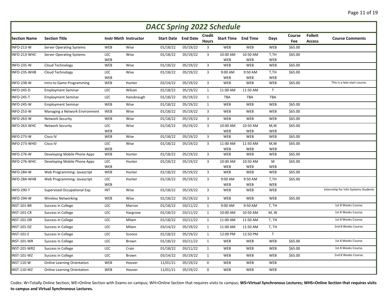|                     | <b>DACC Spring 2022 Schedule</b><br><b>Follett</b><br><b>Credit</b><br>Course |            |                              |          |                            |                |                            |                        |                   |         |               |                                      |  |  |
|---------------------|-------------------------------------------------------------------------------|------------|------------------------------|----------|----------------------------|----------------|----------------------------|------------------------|-------------------|---------|---------------|--------------------------------------|--|--|
| <b>Section Name</b> | <b>Section Title</b>                                                          |            | <b>Instr Meth Instructor</b> |          | <b>Start Date</b> End Date | <b>Hours</b>   | <b>Start Time End Time</b> |                        | Days              | Fee     | <b>Access</b> | <b>Course Comments</b>               |  |  |
| INFO-213-W          | <b>Server Operating Systems</b>                                               | WEB        | Wise                         | 01/18/22 | 05/19/22                   | 3              | WEB                        | WEB                    | WEB               | \$65.00 |               |                                      |  |  |
| INFO-213-WHC        | <b>Server Operating Systems</b>                                               | LEC<br>WEB | Wise                         | 01/18/22 | 05/19/22                   | 3              | 10:00 AM<br>WEB            | 10:50 AM<br>WEB        | T,TH<br>WEB       | \$65.00 |               |                                      |  |  |
| <b>INFO-235-W</b>   | Cloud Technology                                                              | WEB        | Wise                         | 01/18/22 | 05/19/22                   | 3              | WEB                        | WEB                    | WEB               | \$65.00 |               |                                      |  |  |
| INFO-235-WHB        | Cloud Technology                                                              | LEC<br>WEB | Wise                         | 01/18/22 | 05/19/22                   | $\overline{3}$ | 9:00 AM<br>WEB             | 9:50 AM<br>WEB         | T,TH<br>WEB       | \$65.00 |               |                                      |  |  |
| <b>INFO-238-W</b>   | Intro to Game Programming                                                     | WEB        | Hunter                       | 02/14/22 | 05/19/22                   | $\overline{3}$ | WEB                        | WEB                    | WEB               | \$65.00 |               | This is a late-start course.         |  |  |
| <b>INFO-245-D</b>   | <b>Employment Seminar</b>                                                     | LEC        | Wilson                       | 01/18/22 | 05/19/22                   | $\mathbf{1}$   | 11:00 AM                   | 11:50 AM               | T                 |         |               |                                      |  |  |
| <b>INFO-245-T</b>   | <b>Employment Seminar</b>                                                     | LEC        | Hansbraugh                   | 01/18/22 | 05/19/22                   | 1              | <b>TBA</b>                 | <b>TBA</b>             | <b>TBA</b>        |         |               |                                      |  |  |
| <b>INFO-245-W</b>   | <b>Employment Seminar</b>                                                     | WEB        | Wise                         | 01/18/22 | 05/19/22                   | 1              | WEB                        | WEB                    | <b>WEB</b>        | \$65.00 |               |                                      |  |  |
| <b>INFO-253-W</b>   | Managing a Network Environment                                                | WEB        | Wise                         | 01/18/22 | 05/19/22                   | $\mathbf{3}$   | WEB                        | WEB                    | WEB               | \$65.00 |               |                                      |  |  |
| <b>INFO-263-W</b>   | <b>Network Security</b>                                                       | WEB        | Wise                         | 01/18/22 | 05/19/22                   | $\overline{3}$ | <b>WEB</b>                 | WEB                    | <b>WEB</b>        | \$65.00 |               |                                      |  |  |
| INFO-263-WHC        | <b>Network Security</b>                                                       | LEC<br>WEB | Wise                         | 01/18/22 | 05/19/22                   | 3              | 10:00 AM<br><b>WEB</b>     | 10:50 AM<br><b>WEB</b> | M,W<br><b>WEB</b> | \$65.00 |               |                                      |  |  |
| <b>INFO-273-W</b>   | Cisco IV                                                                      | WEB        | Wise                         | 01/18/22 | 05/19/22                   | 3              | WEB                        | WEB                    | WEB               | \$65.00 |               |                                      |  |  |
| INFO-273-WHD        | Cisco IV                                                                      | LEC<br>WEB | Wise                         | 01/18/22 | 05/19/22                   | $\mathbf{3}$   | 11:00 AM<br>WEB            | 11:50 AM<br>WEB        | M,W<br><b>WEB</b> | \$65.00 |               |                                      |  |  |
| INFO-276-W          | Developing Mobile Phone Apps                                                  | WEB        | Hunter                       | 01/18/22 | 05/19/22                   | 3              | WEB                        | WEB                    | <b>WEB</b>        | \$65.00 |               |                                      |  |  |
| INFO-276-WHC        | Developing Mobile Phone Apps                                                  | LEC<br>WEB | Hunter                       | 01/18/22 | 05/19/22                   | 3              | 10:00 AM<br>WEB            | 10:50 AM<br>WEB        | M<br><b>WEB</b>   | \$65.00 |               |                                      |  |  |
| <b>INFO-284-W</b>   | Web Programming: Javascript                                                   | WEB        | Hunter                       | 01/18/22 | 05/19/22                   | $\mathbf{3}$   | WEB                        | WEB                    | WEB               | \$65.00 |               |                                      |  |  |
| INFO-284-WHB        | Web Programming: Javascript                                                   | LEC<br>WEB | Hunter                       | 01/18/22 | 05/19/22                   | 3              | 9:00 AM<br>WEB             | 9:50 AM<br>WEB         | T,TH<br>WEB       | \$65.00 |               |                                      |  |  |
| <b>INFO-290-T</b>   | Supervised Occupational Exp.                                                  | <b>INT</b> | Wise                         | 01/18/22 | 05/19/22                   | 3              | WEB                        | WEB                    | <b>WEB</b>        |         |               | Internship for Info Systems Students |  |  |
| <b>INFO-294-W</b>   | <b>Wireless Networking</b>                                                    | WEB        | Wise                         | 01/18/22 | 05/19/22                   | $\overline{3}$ | WEB                        | WEB                    | WEB               | \$65.00 |               |                                      |  |  |
| <b>INST-101-BR</b>  | Success in College                                                            | LEC        | Marron                       | 01/18/22 | 03/11/22                   | $\mathbf{1}$   | 9:00 AM                    | 9:50 AM                | T, TH             |         |               | 1st 8 Weeks Course.                  |  |  |
| <b>INST-101-CR</b>  | Success in College                                                            | LEC        | Hargrove                     | 01/18/22 | 03/11/22                   | $\mathbf{1}$   | 10:00 AM                   | 10:50 AM               | M, W              |         |               | 1st 8 Weeks Course.                  |  |  |
| <b>INST-101-DR</b>  | Success in College                                                            | LEC        | Milam                        | 01/18/22 | 03/11/22                   | $\mathbf{1}$   | 11:00 AM                   | 11:50 AM               | T, TH             |         |               | 1st 8 Weeks Course.                  |  |  |
| INST-101-DZ         | Success in College                                                            | LEC        | Milam                        | 03/14/22 | 05/19/22                   | 1              | 11:00 AM                   | 11:50 AM               | T, TH             |         |               | 2nd 8 Weeks Course.                  |  |  |
| <b>INST-101-E</b>   | Success in College                                                            | LEC        | Sconce                       | 01/18/22 | 05/19/22                   | $\mathbf{1}$   | 12:00 PM                   | 12:50 PM               | T                 |         |               |                                      |  |  |
| <b>INST-101-WR</b>  | Success in College                                                            | LEC        | <b>Brown</b>                 | 01/18/22 | 03/11/22                   | 1              | WEB                        | WEB                    | WEB               | \$65.00 |               | 1st 8 Weeks Course.                  |  |  |
| INST-101-WR2        | Success in College                                                            | LEC        | Crain                        | 01/18/22 | 03/11/22                   | 1              | WEB                        | WEB                    | WEB               | \$65.00 |               | 1st 8 Weeks Course.                  |  |  |
| <b>INST-101-WZ</b>  | Success in College                                                            | LEC        | Brown                        | 03/14/22 | 05/19/22                   | $\mathbf{1}$   | WEB                        | WEB                    | WEB               | \$65.00 |               | 2nd 8 Weeks Course.                  |  |  |
| <b>INST-110-W</b>   | <b>Online Learning Orientation</b>                                            | WEB        | Hoover                       | 11/01/21 | 05/19/22                   | $\mathsf 0$    | WEB                        | WEB                    | WEB               |         |               |                                      |  |  |
| $NST-110-WZ$        | <b>Online Learning Orientation</b>                                            | WEB        | Hoover                       | 11/01/21 | 05/19/22                   | $\mathbf 0$    | WEB                        | WEB                    | <b>WEB</b>        |         |               |                                      |  |  |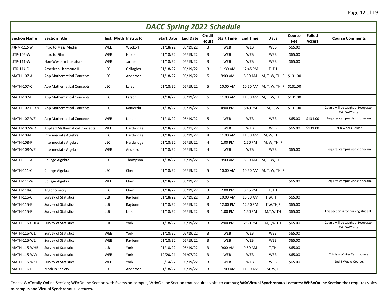|                     | <b>DACC Spring 2022 Schedule</b>     |            |                              |          |                            |                               |                            |          |                                  |               |                                 |                                                       |  |  |
|---------------------|--------------------------------------|------------|------------------------------|----------|----------------------------|-------------------------------|----------------------------|----------|----------------------------------|---------------|---------------------------------|-------------------------------------------------------|--|--|
| <b>Section Name</b> | <b>Section Title</b>                 |            | <b>Instr Meth Instructor</b> |          | <b>Start Date</b> End Date | <b>Credit</b><br><b>Hours</b> | <b>Start Time End Time</b> |          | Days                             | Course<br>Fee | <b>Follett</b><br><b>Access</b> | <b>Course Comments</b>                                |  |  |
| JRNM-112-W          | Intro to Mass Media                  | WEB        | Wyckoff                      | 01/18/22 | 05/19/22                   | 3                             | WEB                        | WEB      | <b>WEB</b>                       | \$65.00       |                                 |                                                       |  |  |
| LITR-105-W          | Intro to Film                        | WEB        | Holden                       | 01/18/22 | 05/19/22                   | 3                             | WEB                        | WEB      | WEB                              | \$65.00       |                                 |                                                       |  |  |
| LITR-111-W          | Non-Western Literature               | WEB        | Jarmer                       | 01/18/22 | 05/19/22                   | 3                             | WEB                        | WEB      | WEB                              | \$65.00       |                                 |                                                       |  |  |
| LITR-114-D          | American Literature II               | LEC        | Gallagher                    | 01/18/22 | 05/19/22                   | $\overline{3}$                | 11:30 AM                   | 12:45 PM | T, TH                            |               |                                 |                                                       |  |  |
| <b>MATH-107-A</b>   | App Mathematical Concepts            | LEC        | Anderson                     | 01/18/22 | 05/19/22                   | 5                             | 8:00 AM                    | 8:50 AM  | M, T, W, TH, F \$131.00          |               |                                 |                                                       |  |  |
| <b>MATH-107-C</b>   | App Mathematical Concepts            | LEC        | Larson                       | 01/18/22 | 05/19/22                   | 5                             | 10:00 AM                   |          | 10:50 AM M, T, W, TH, F \$131.00 |               |                                 |                                                       |  |  |
| <b>MATH-107-D</b>   | App Mathematical Concepts            | LEC        | Larson                       | 01/18/22 | 05/19/22                   | 5                             | 11:00 AM                   |          | 11:50 AM M, T, W, TH, F \$131.00 |               |                                 |                                                       |  |  |
| MATH-107-HEXN       | App Mathematical Concepts            | LEC        | Konieczki                    | 01/18/22 | 05/19/22                   | 5                             | 4:00 PM                    | 5:40 PM  | M, T, W                          | \$131.00      |                                 | Course will be taught at Hoopeston<br>Ext. DACC site. |  |  |
| MATH-107-WE         | App Mathematical Concepts            | WEB        | Larson                       | 01/18/22 | 05/19/22                   | 5                             | WEB                        | WEB      | WEB                              | \$65.00       | \$131.00                        | Requires campus visits for exam.                      |  |  |
| MATH-107-WR         | <b>Applied Mathematical Concepts</b> | WEB        | Hardwidge                    | 01/18/22 | 03/11/22                   | 5                             | WEB                        | WEB      | WEB                              | \$65.00       | \$131.00                        | 1st 8 Weeks Course.                                   |  |  |
| <b>MATH-108-D</b>   | Intermediate Algebra                 | LEC        | Hardwidge                    | 01/18/22 | 05/19/22                   | 4                             | 11:00 AM                   | 11:50 AM | M, W, TH, F                      |               |                                 |                                                       |  |  |
| <b>MATH-108-F</b>   | Intermediate Algebra                 | LEC        | Hardwidge                    | 01/18/22 | 05/19/22                   | $\overline{a}$                | 1:00 PM                    | 1:50 PM  | M, W, TH, F                      |               |                                 |                                                       |  |  |
| MATH-108-WE         | Intermediate Algebra                 | WEB        | Anderson                     | 01/18/22 | 05/19/22                   | $\overline{4}$                | WEB                        | WEB      | WEB                              | \$65.00       |                                 | Requires campus visits for exam.                      |  |  |
| <b>MATH-111-A</b>   | College Algebra                      | LEC        | Thompson                     | 01/18/22 | 05/19/22                   | 5                             | 8:00 AM                    | 8:50 AM  | M, T, W, TH, F                   |               |                                 |                                                       |  |  |
| <b>MATH-111-C</b>   | College Algebra                      | LEC        | Chen                         | 01/18/22 | 05/19/22                   | 5                             | 10:00 AM                   |          | 10:50 AM M, T, W, TH, F          |               |                                 |                                                       |  |  |
| MATH-111-WE         | College Algebra                      | WEB        | Chen                         | 01/18/22 | 05/19/22                   | 5                             |                            |          |                                  | \$65.00       |                                 | Requires campus visits for exam.                      |  |  |
| MATH-114-G          | Trigonometry                         | LEC        | Chen                         | 01/18/22 | 05/19/22                   | $\overline{3}$                | 2:00 PM                    | 3:15 PM  | T, TH                            |               |                                 |                                                       |  |  |
| <b>MATH-115-C</b>   | <b>Survey of Statistics</b>          | <b>LLB</b> | Rayburn                      | 01/18/22 | 05/19/22                   | 3                             | 10:00 AM                   | 10:50 AM | T,W,TH,F                         | \$65.00       |                                 |                                                       |  |  |
| <b>MATH-115-E</b>   | <b>Survey of Statistics</b>          | <b>LLB</b> | Rayburn                      | 01/18/22 | 05/19/22                   | $\overline{3}$                | 12:00 PM                   | 12:50 PM | T,W,TH,F                         | \$65.00       |                                 |                                                       |  |  |
| MATH-115-F          | <b>Survey of Statistics</b>          | <b>LLB</b> | Larson                       | 01/18/22 | 05/19/22                   | $\overline{\mathbf{3}}$       | 1:00 PM                    | 1:50 PM  | M,T,W,TH                         | \$65.00       |                                 | This section is for nursing students.                 |  |  |
| MATH-115-GHEX       | <b>Survey of Statistics</b>          | <b>LLB</b> | York                         | 01/18/22 | 05/19/22                   | 3                             | 2:00 PM                    | 2:50 PM  | M,T,W,TH                         | \$65.00       |                                 | Course will be taught at Hoopeston<br>Ext. DACC site. |  |  |
| MATH-115-W1         | <b>Survey of Statistics</b>          | WEB        | York                         | 01/18/22 | 05/19/22                   | $\overline{3}$                | WEB                        | WEB      | WEB                              | \$65.00       |                                 |                                                       |  |  |
| <b>MATH-115-W2</b>  | <b>Survey of Statistics</b>          | WEB        | Rayburn                      | 01/18/22 | 05/19/22                   | $\mathbf{3}$                  | WEB                        | WEB      | WEB                              | \$65.00       |                                 |                                                       |  |  |
| MATH-115-WHB        | <b>Survey of Statistics</b>          | <b>LLB</b> | York                         | 01/18/22 | 05/19/22                   | $\overline{3}$                | 9:00 AM                    | 9:50 AM  | T,TH                             | \$65.00       |                                 |                                                       |  |  |
| MATH-115-WW         | <b>Survey of Statistics</b>          | <b>WEB</b> | York                         | 12/20/21 | 01/07/22                   | $\mathbf{3}$                  | WEB                        | WEB      | <b>WEB</b>                       | \$65.00       |                                 | This is a Winter Term course.                         |  |  |
| MATH-115-WZ1        | Survey of Statistics                 | <b>WEB</b> | York                         | 03/14/22 | 05/19/22                   | $\overline{3}$                | <b>WEB</b>                 | WEB      | <b>WEB</b>                       | \$65.00       |                                 | 2nd 8 Weeks Course.                                   |  |  |
| <b>MATH-116-D</b>   | Math in Society                      | <b>LEC</b> | Anderson                     | 01/18/22 | 05/19/22                   | 3                             | 11:00 AM                   | 11:50 AM | M, W, F                          |               |                                 |                                                       |  |  |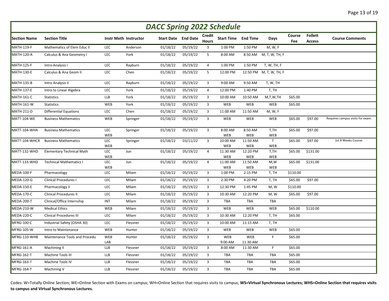| <b>DACC Spring 2022 Schedule</b> |                                  |            |                       |                   |                 |                               |                            |                        |                            |               |                                 |                                  |  |
|----------------------------------|----------------------------------|------------|-----------------------|-------------------|-----------------|-------------------------------|----------------------------|------------------------|----------------------------|---------------|---------------------------------|----------------------------------|--|
| <b>Section Name</b>              | <b>Section Title</b>             |            | Instr Meth Instructor | <b>Start Date</b> | <b>End Date</b> | <b>Credit</b><br><b>Hours</b> | <b>Start Time End Time</b> |                        | Days                       | Course<br>Fee | <b>Follett</b><br><b>Access</b> | <b>Course Comments</b>           |  |
| <b>MATH-119-F</b>                | Mathematics of Elem Educ II      | LEC        | Anderson              | 01/18/22          | 05/19/22        | 3                             | 1:00 PM                    | 1:50 PM                | M, W, F                    |               |                                 |                                  |  |
| <b>MATH-120-A</b>                | Calculus & Ana Geometry I        | LEC        | York                  | 01/18/22          | 05/19/22        | 5                             | 8:00 AM                    | 8:50 AM                | M, T, W, TH, F             |               |                                 |                                  |  |
| <b>MATH-125-F</b>                | Intro Analysis I                 | LEC        | Rayburn               | 01/18/22          | 05/19/22        | 4                             | 1:00 PM                    | 1:50 PM                | T, W, TH, F                |               |                                 |                                  |  |
| <b>MATH-130-E</b>                | Calculus & Ana Geom II           | LEC        | Chen                  | 01/18/22          | 05/19/22        | 5                             | 12:00 PM                   |                        | 12:50 PM M, T, W, TH, F    |               |                                 |                                  |  |
| <b>MATH-135-B</b>                | Intro Analysis II                | LEC        | Rayburn               | 01/18/22          | 05/19/22        | $\overline{3}$                | 9:00 AM                    | 9:50 AM                | T, W, TH                   |               |                                 |                                  |  |
| <b>MATH-137-E</b>                | Intro to Linear Algebra          | LEC        | York                  | 01/18/22          | 05/19/22        | $\overline{4}$                | 12:00 PM                   | 1:40 PM                | T, TH                      |               |                                 |                                  |  |
| <b>MATH-161-C</b>                | <b>Statistics</b>                | <b>LLB</b> | York                  | 01/18/22          | 05/19/22        | 3                             | 10:00 AM                   | 10:50 AM               | M,T,W,TH                   | \$65.00       |                                 |                                  |  |
| MATH-161-W                       | <b>Statistics</b>                | WEB        | York                  | 01/18/22          | 05/19/22        | $\overline{3}$                | <b>WEB</b>                 | WEB                    | <b>WEB</b>                 | \$65.00       |                                 |                                  |  |
| <b>MATH-211-D</b>                | <b>Differential Equations</b>    | LEC        | Chen                  | 01/18/22          | 05/19/22        | $\mathbf{3}$                  | 11:00 AM                   | 11:50 AM               | M, W, F                    |               |                                 |                                  |  |
| MATT-104-WE                      | <b>Business Mathematics</b>      | WEB        | Springer              | 01/18/22          | 05/19/22        | $\mathbf{3}$                  | <b>WEB</b>                 | WEB                    | WEB                        | \$65.00       | \$97.00                         | Requires campus visits for exam. |  |
| MATT-104-WHA                     | <b>Business Mathematics</b>      | LEC<br>WEB | Springer              | 01/18/22          | 05/19/22        | $\overline{3}$                | 8:00 AM<br>WEB             | 8:50 AM<br>WEB         | T,TH<br>WEB                | \$65.00       | \$97.00                         |                                  |  |
| MATT-104-WHCR                    | <b>Business Mathematics</b>      | LEC<br>WEB | Springer              | 01/18/22          | 03/11/22        | 3                             | 10:00 AM<br><b>WEB</b>     | 11:50 AM<br>WEB        | $\mathsf{T}$<br><b>WEB</b> | \$65.00       | \$97.00                         | 1st 8 Weeks Course.              |  |
| MATT-132-WHD                     | <b>Elementary Technical Math</b> | LEC<br>WEB | Jun                   | 01/18/22          | 05/19/22        | $\overline{4}$                | 11:30 AM<br>WEB            | 12:20 PM<br>WEB        | T,TH<br>WEB                | \$65.00       | \$131.00                        |                                  |  |
| MATT-133-WHD                     | <b>Technical Mathematics I</b>   | LEC<br>WEB | Jun                   | 01/18/22          | 05/19/22        | $\overline{4}$                | 11:00 AM<br><b>WEB</b>     | 11:50 AM<br>WEB        | M,W<br>WEB                 | \$65.00       | \$131.00                        |                                  |  |
| MEDA-100-F                       | Pharmacology                     | LEC        | Milam                 | 01/18/22          | 05/19/22        | 3                             | 1:00 PM                    | 2:15 PM                | T, TH                      | \$110.00      |                                 |                                  |  |
| MEDA-120-G                       | <b>Clinical Procedures I</b>     | LEC        | Milam                 | 01/18/22          | 05/19/22        | $\overline{3}$                | 2:30 PM                    | 4:20 PM                | T, TH                      | \$65.00       | \$97.00                         |                                  |  |
| <b>MEDA-150-E</b>                | Pharmacology II                  | LEC        | Milam                 | 01/18/22          | 05/19/22        | $\overline{3}$                | 12:30 PM                   | 1:45 PM                | M, W                       | \$110.00      |                                 |                                  |  |
| MEDA-170-C                       | <b>Clinical Procedures II</b>    | LEC        | Milam                 | 01/18/22          | 05/19/22        | 3                             | 10:30 AM                   | 12:20 PM               | M, W                       | \$65.00       | \$97.00                         |                                  |  |
| MEDA-200-T                       | Clinical/Office Internship       | INT        | Milam                 | 01/18/22          | 05/19/22        | 3                             | <b>TBA</b>                 | TBA                    | <b>TBA</b>                 |               |                                 |                                  |  |
| MEDA-210-W                       | <b>Medical Ethics</b>            | WEB        | Milam                 | 01/18/22          | 05/19/22        | $\mathbf{3}$                  | <b>WEB</b>                 | WEB                    | WEB                        | \$65.00       | \$110.00                        |                                  |  |
| MEDA-220-C                       | <b>Clinical Procedures III</b>   | LEC        | Milam                 | 01/18/22          | 05/19/22        | $\overline{3}$                | 10:30 AM                   | 12:20 PM               | T, TH                      | \$65.00       |                                 |                                  |  |
| MFRG-100-C                       | Industrial Safety (OSHA 30)      | LEC        | Flessner              | 01/18/22          | 05/19/22        | $\mathbf{3}$                  | 10:00 AM                   | 11:15 AM               | T, TH                      |               |                                 |                                  |  |
| MFRG-105-W                       | Intro to Maintenance             | WEB        | Hunter                | 01/18/22          | 05/19/22        | $\mathbf{3}$                  | <b>WEB</b>                 | WEB                    | WEB                        | \$65.00       |                                 |                                  |  |
| MFRG-110-WHB                     | Maintenance Tools and Procedu    | WEB<br>LAB | Hunter                | 01/18/22          | 05/19/22        | $\overline{3}$                | WEB<br>9:00 AM             | <b>WEB</b><br>11:30 AM | $\mathsf F$                | \$65.00       |                                 |                                  |  |
| MFRG-161-A                       | Machining II                     | <b>LLB</b> | Flessner              | 01/18/22          | 05/19/22        | $\overline{3}$                | 8:00 AM                    | 11:30 AM               | F                          | \$65.00       |                                 |                                  |  |
| MFRG-162-T                       | Machine Tools III                | <b>LLB</b> | Flessner              | 01/18/22          | 05/19/22        | 3                             | <b>TBA</b>                 | <b>TBA</b>             | <b>TBA</b>                 | \$65.00       |                                 |                                  |  |
| MFRG-163-T                       | Machine Tools IV                 | <b>LLB</b> | Flessner              | 01/18/22          | 05/19/22        | 3                             | <b>TBA</b>                 | <b>TBA</b>             | TBA                        | \$65.00       |                                 |                                  |  |
| MFRG-164-T                       | Machining V                      | <b>LLB</b> | Flessner              | 01/18/22          | 05/19/22        | $\overline{3}$                | TBA                        | TBA                    | TBA                        | \$65.00       |                                 |                                  |  |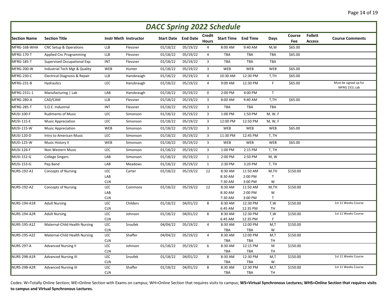|                     | <b>DACC Spring 2022 Schedule</b> |                   |                              |                            |          |                        |                            |                        |              |               |                                 |                                        |  |  |
|---------------------|----------------------------------|-------------------|------------------------------|----------------------------|----------|------------------------|----------------------------|------------------------|--------------|---------------|---------------------------------|----------------------------------------|--|--|
| <b>Section Name</b> | <b>Section Title</b>             |                   | <b>Instr Meth Instructor</b> | <b>Start Date</b> End Date |          | Credit<br><b>Hours</b> | <b>Start Time End Time</b> |                        | Days         | Course<br>Fee | <b>Follett</b><br><b>Access</b> | <b>Course Comments</b>                 |  |  |
| MFRG-168-WHA        | CNC Setup & Operations           | <b>LLB</b>        | Flessner                     | 01/18/22                   | 05/19/22 | $\overline{4}$         | 8:00 AM                    | 9:40 AM                | M,W          | \$65.00       |                                 |                                        |  |  |
| MFRG-170-T          | <b>Applied Cnc Programming</b>   | <b>LLB</b>        | Flessner                     | 01/18/22                   | 05/19/22 | 4                      | TBA                        | <b>TBA</b>             | <b>TBA</b>   | \$65.00       |                                 |                                        |  |  |
| MFRG-185-T          | Supervised Occupational Exp.     | INT               | Flessner                     | 01/18/22                   | 05/19/22 | $\overline{3}$         | <b>TBA</b>                 | <b>TBA</b>             | <b>TBA</b>   |               |                                 |                                        |  |  |
| MFRG-200-W          | Industrial Tech Mgt & Quality    | WEB               | Hunter                       | 01/18/22                   | 05/19/22 | $\overline{3}$         | WEB                        | WEB                    | WEB          | \$65.00       |                                 |                                        |  |  |
| <b>MFRG-230-C</b>   | Electrical Diagnosis & Repair    | <b>LLB</b>        | Hansbraugh                   | 01/18/22                   | 05/19/22 | 4                      | 10:30 AM                   | 12:30 PM               | T,TH         | \$65.00       |                                 |                                        |  |  |
| MFRG-231-B          | <b>Hydraulics</b>                | LEC               | Hansbraugh                   | 01/18/22                   | 05/19/22 | $\overline{4}$         | 9:00 AM                    | 12:30 PM               | $\mathsf{F}$ | \$65.00       |                                 | Must be signed up for<br>MFRG 231L Lab |  |  |
| MFRG-231L-1         | Manufacturing   Lab              | LAB               | Hansbraugh                   | 01/18/22                   | 05/19/22 | $\mathbf 0$            | 2:00 PM                    | 4:00 PM                | $\mathsf{T}$ |               |                                 |                                        |  |  |
| MFRG-280-A          | CAD/CAM                          | <b>LLB</b>        | Flessner                     | 01/18/22                   | 05/19/22 | 3                      | 8:00 AM                    | 9:40 AM                | T,TH         | \$65.00       |                                 |                                        |  |  |
| MFRG-285-T          | S.O.E. Industrial                | INT               | Flessner                     | 01/18/22                   | 05/19/22 | 3                      | TBA                        | TBA                    | TBA          |               |                                 |                                        |  |  |
| <b>MUSI-100-F</b>   | <b>Rudiments of Music</b>        | LEC               | Simonson                     | 01/18/22                   | 05/19/22 | 3                      | 1:00 PM                    | 1:50 PM                | M, W, F      |               |                                 |                                        |  |  |
| <b>MUSI-115-E</b>   | <b>Music Appreciation</b>        | LEC               | Simonson                     | 01/18/22                   | 05/19/22 | $\overline{3}$         | 12:00 PM                   | 12:50 PM               | M, W, F      |               |                                 |                                        |  |  |
| <b>MUSI-115-W</b>   | <b>Music Appreciation</b>        | WEB               | Simonson                     | 01/18/22                   | 05/19/22 | $\overline{3}$         | WEB                        | WEB                    | <b>WEB</b>   | \$65.00       |                                 |                                        |  |  |
| <b>MUSI-120-D</b>   | Intro to American Music          | LEC               | Simonson                     | 01/18/22                   | 05/19/22 | 3                      | 11:30 PM                   | 12:45 PM               | T, TH        |               |                                 |                                        |  |  |
| <b>MUSI-125-W</b>   | Music History II                 | WEB               | Simonson                     | 01/18/22                   | 05/19/22 | $\overline{3}$         | WEB                        | WEB                    | <b>WEB</b>   | \$65.00       |                                 |                                        |  |  |
| <b>MUSI-126-F</b>   | Non-Western Music                | LEC               | Simonson                     | 01/18/22                   | 05/19/22 | $\mathsf 3$            | 1:00 PM                    | 2:15 PM                | T, TH        |               |                                 |                                        |  |  |
| MUSI-152-G          | <b>College Singers</b>           | LAB               | Simonson                     | 01/18/22                   | 05/19/22 | $\mathbf{1}$           | 2:00 PM                    | 2:50 PM                | M, W         |               |                                 |                                        |  |  |
| MUSI-153-G          | Pep Band                         | LAB               | Meadows                      | 01/18/22                   | 05/19/22 | $\mathbf{1}$           | 2:30 PM                    | 3:20 PM                | T, TH        |               |                                 |                                        |  |  |
| NURS-192-A1         | <b>Concepts of Nursing</b>       | LEC               | Carter                       | 01/18/22                   | 05/19/22 | 12                     | 8:30 AM                    | 11:50 AM               | M,TH         | \$150.00      |                                 |                                        |  |  |
|                     |                                  | LAB               |                              |                            |          |                        | 8:30 AM                    | 2:00 PM                | $\mathsf{T}$ |               |                                 |                                        |  |  |
| <b>NURS-192-A2</b>  | <b>Concepts of Nursing</b>       | <b>CLN</b><br>LEC | Commons                      | 01/18/22                   | 05/19/22 | 12                     | 7:30 AM<br>8:30 AM         | 3:00 PM<br>11:50 AM    | W<br>M,TH    | \$150.00      |                                 |                                        |  |  |
|                     |                                  | LAB               |                              |                            |          |                        | 8:30 AM                    | 2:00 PM                | W            |               |                                 |                                        |  |  |
|                     |                                  | <b>CLN</b>        |                              |                            |          |                        | 7:30 AM                    | 3:00 PM                | $\mathsf{T}$ |               |                                 |                                        |  |  |
| NURS-194-A1R        | <b>Adult Nursing</b>             | LEC               | Childers                     | 01/18/22                   | 04/01/22 | 8                      | 8:30 AM                    | 12:30 PM               | T,W          | \$150.00      |                                 | 1st 11 Weeks Course                    |  |  |
| <b>NURS-194-A2R</b> |                                  | <b>CLN</b><br>LEC |                              |                            |          | 8                      | 6:45 AM<br>8:30 AM         | 12:35 PM<br>12:30 PM   | TH           | \$150.00      |                                 | 1st 11 Weeks Course                    |  |  |
|                     | <b>Adult Nursing</b>             | <b>CLN</b>        | Johnson                      | 01/18/22                   | 04/01/22 |                        | 6:45 AM                    | 12:35 PM               | T,W<br>F.    |               |                                 |                                        |  |  |
| NURS-195-A1Z        | Maternal-Child Health Nursing    | LEC               | Sroufek                      | 04/04/22                   | 05/19/22 | $\overline{4}$         | 8:30 AM                    | 12:00 PM               | M,T          | \$150.00      |                                 |                                        |  |  |
|                     |                                  | <b>CLN</b>        |                              |                            |          |                        | <b>TBA</b>                 | <b>TBA</b>             | W            |               |                                 |                                        |  |  |
| <b>NURS-195-A2Z</b> | Maternal-Child Health Nursing    | LEC               | Shaffer                      | 04/04/22                   | 05/19/22 | 4                      | 8:30 AM                    | 12:00 PM               | M,T          | \$150.00      |                                 |                                        |  |  |
| <b>NURS-297-A</b>   | <b>Advanced Nursing II</b>       | <b>CLN</b><br>LEC | Johnson                      | 01/18/22                   | 05/19/22 | 6                      | TBA<br>8:30 AM             | <b>TBA</b><br>12:15 PM | TH<br>M      | \$150.00      |                                 |                                        |  |  |
|                     |                                  | <b>CLN</b>        |                              |                            |          |                        | TBA                        | <b>TBA</b>             | TH           |               |                                 |                                        |  |  |
| <b>NURS-298-A1R</b> | <b>Advanced Nursing III</b>      | LEC               | Sroufek                      | 01/18/22                   | 04/01/22 | 8                      | 8:30 AM                    | 12:30 PM               | M,T          | \$150.00      |                                 | 1st 11 Weeks Course                    |  |  |
|                     |                                  | <b>CLN</b>        |                              |                            |          |                        | <b>TBA</b>                 | <b>TBA</b>             | W            |               |                                 |                                        |  |  |
| <b>NURS-298-A2R</b> | <b>Advanced Nursing III</b>      | LEC               | Shaffer                      | 01/18/22                   | 04/01/22 | 8                      | 8:30 AM                    | 12:30 PM               | M,T          | \$150.00      |                                 | 1st 11 Weeks Course                    |  |  |
|                     |                                  | <b>CLN</b>        |                              |                            |          |                        | <b>TBA</b>                 | <b>TBA</b>             | <b>TH</b>    |               |                                 |                                        |  |  |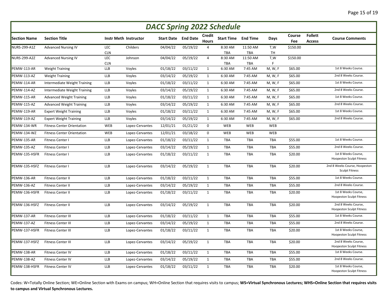|                     | <b>DACC Spring 2022 Schedule</b>  |                   |                              |          |                            |                        |                            |                        |                  |               |                                 |                                                        |  |  |
|---------------------|-----------------------------------|-------------------|------------------------------|----------|----------------------------|------------------------|----------------------------|------------------------|------------------|---------------|---------------------------------|--------------------------------------------------------|--|--|
| <b>Section Name</b> | <b>Section Title</b>              |                   | <b>Instr Meth Instructor</b> |          | <b>Start Date</b> End Date | Credit<br><b>Hours</b> | <b>Start Time End Time</b> |                        | Days             | Course<br>Fee | <b>Follett</b><br><b>Access</b> | <b>Course Comments</b>                                 |  |  |
| <b>NURS-299-A1Z</b> | <b>Advanced Nursing IV</b>        | LEC               | Childers                     | 04/04/22 | 05/19/22                   | $\overline{4}$         | 8:30 AM                    | 11:50 AM               | T,W              | \$150.00      |                                 |                                                        |  |  |
| <b>NURS-299-A2Z</b> | <b>Advanced Nursing IV</b>        | <b>CLN</b><br>LEC | Johnson                      | 04/04/22 | 05/19/22                   | $\overline{4}$         | TBA<br>8:30 AM             | <b>TBA</b><br>11:50 AM | <b>TH</b><br>T,W | \$150.00      |                                 |                                                        |  |  |
|                     |                                   | <b>CLN</b>        |                              |          |                            |                        | <b>TBA</b>                 | <b>TBA</b>             | F.               |               |                                 |                                                        |  |  |
| PEMW-113-AR         | <b>Weight Training</b>            | LLB               | Voyles                       | 01/18/22 | 03/11/22                   | $\mathbf{1}$           | 6:30 AM                    | 7:45 AM                | M, W, F          | \$65.00       |                                 | 1st 8 Weeks Course.                                    |  |  |
| PEMW-113-AZ         | <b>Weight Training</b>            | LLB               | Voyles                       | 03/14/22 | 05/19/22                   | $\mathbf{1}$           | 6:30 AM                    | 7:45 AM                | M, W, F          | \$65.00       |                                 | 2nd 8 Weeks Course.                                    |  |  |
| PEMW-114-AR         | Intermediate Weight Training      | LLB               | Voyles                       | 01/18/22 | 03/11/22                   | $\mathbf{1}$           | 6:30 AM                    | 7:45 AM                | M, W, F          | \$65.00       |                                 | 1st 8 Weeks Course.                                    |  |  |
| PEMW-114-AZ         | Intermediate Weight Training      | <b>LLB</b>        | Voyles                       | 03/14/22 | 05/19/22                   | $\mathbf{1}$           | 6:30 AM                    | 7:45 AM                | M, W, F          | \$65.00       |                                 | 2nd 8 Weeks Course.                                    |  |  |
| PEMW-115-AR         | <b>Advanced Weight Training</b>   | <b>LLB</b>        | Voyles                       | 01/18/22 | 03/11/22                   | $\mathbf{1}$           | 6:30 AM                    | 7:45 AM                | M, W, F          | \$65.00       |                                 | 1st 8 Weeks Course.                                    |  |  |
| PEMW-115-AZ         | <b>Advanced Weight Training</b>   | <b>LLB</b>        | Voyles                       | 03/14/22 | 05/19/22                   | $\mathbf{1}$           | 6:30 AM                    | 7:45 AM                | M, W, F          | \$65.00       |                                 | 2nd 8 Weeks Course.                                    |  |  |
| PEMW-119-AR         | <b>Expert Weight Training</b>     | <b>LLB</b>        | Voyles                       | 01/18/22 | 03/11/22                   | $\mathbf{1}$           | 6:30 AM                    | 7:45 AM                | M, W, F          | \$65.00       |                                 | 1st 8 Weeks Course.                                    |  |  |
| PEMW-119-AZ         | <b>Expert Weight Training</b>     | <b>LLB</b>        | Voyles                       | 03/14/22 | 05/19/22                   | $\mathbf{1}$           | 6:30 AM                    | 7:45 AM                | M, W, F          | \$65.00       |                                 | 2nd 8 Weeks Course.                                    |  |  |
| PEMW-134-WR         | <b>Fitness Center Orientation</b> | WEB               | Lopez-Cervantes              | 12/01/21 | 01/21/22                   | $\mathbf 0$            | WEB                        | WEB                    | <b>WEB</b>       |               |                                 |                                                        |  |  |
| PEMW-134-WZ         | <b>Fitness Center Orientation</b> | WEB               | Lopez-Cervantes              | 12/01/21 | 03/18/22                   | $\mathbf 0$            | <b>WEB</b>                 | WEB                    | <b>WEB</b>       |               |                                 |                                                        |  |  |
| PEMW-135-AR         | <b>Fitness Center I</b>           | <b>LLB</b>        | Lopez-Cervantes              | 01/18/22 | 03/11/22                   | $\mathbf{1}$           | TBA                        | <b>TBA</b>             | TBA              | \$55.00       |                                 | 1st 8 Weeks Course.                                    |  |  |
| PEMW-135-AZ         | <b>Fitness Center I</b>           | <b>LLB</b>        | Lopez-Cervantes              | 03/14/22 | 05/19/22                   | $\mathbf{1}$           | <b>TBA</b>                 | TBA                    | <b>TBA</b>       | \$55.00       |                                 | 2nd 8 Weeks Course.                                    |  |  |
| PEMW-135-HSFR       | Fitness Center I                  | <b>LLB</b>        | Lopez-Cervantes              | 01/18/22 | 03/11/22                   | $\mathbf{1}$           | <b>TBA</b>                 | <b>TBA</b>             | <b>TBA</b>       | \$20.00       |                                 | 1st 8 Weeks Course,<br><b>Hoopeston Sculpt Fitness</b> |  |  |
| PEMW-135-HSFZ       | Fitness Center I                  | LLB               | Lopez-Cervantes              | 03/14/22 | 05/19/22                   | $\mathbf{1}$           | <b>TBA</b>                 | TBA                    | TBA              | \$20.00       |                                 | 2nd 8 Weeks Course, Hoopeston<br><b>Sculpt Fitness</b> |  |  |
| PEMW-136-AR         | Fitness Center II                 | LLB               | Lopez-Cervantes              | 01/18/22 | 03/11/22                   | $\mathbf{1}$           | <b>TBA</b>                 | TBA                    | <b>TBA</b>       | \$55.00       |                                 | 1st 8 Weeks Course.                                    |  |  |
| PEMW-136-AZ         | <b>Fitness Center II</b>          | <b>LLB</b>        | Lopez-Cervantes              | 03/14/22 | 05/19/22                   | $\mathbf{1}$           | <b>TBA</b>                 | <b>TBA</b>             | <b>TBA</b>       | \$55.00       |                                 | 2nd 8 Weeks Course.                                    |  |  |
| PEMW-136-HSFR       | Fitness Center II                 | LLB               | Lopez-Cervantes              | 01/18/22 | 03/11/22                   | $\mathbf{1}$           | <b>TBA</b>                 | TBA                    | <b>TBA</b>       | \$20.00       |                                 | 1st 8 Weeks Course,<br><b>Hoopeston Sculpt Fitness</b> |  |  |
| PEMW-136-HSFZ       | Fitness Center II                 | LLB               | Lopez-Cervantes              | 03/14/22 | 05/19/22                   | $\mathbf{1}$           | <b>TBA</b>                 | TBA                    | TBA              | \$20.00       |                                 | 2nd 8 Weeks Course,<br><b>Hoopeston Sculpt Fitness</b> |  |  |
| PEMW-137-AR         | Fitness Center III                | LLB               | Lopez-Cervantes              | 01/18/22 | 03/11/22                   | $\mathbf{1}$           | <b>TBA</b>                 | <b>TBA</b>             | <b>TBA</b>       | \$55.00       |                                 | 1st 8 Weeks Course.                                    |  |  |
| PEMW-137-AZ         | Fitness Center III                | LLB               | Lopez-Cervantes              | 03/14/22 | 05/19/22                   | $\mathbf{1}$           | <b>TBA</b>                 | TBA                    | <b>TBA</b>       | \$55.00       |                                 | 2nd 8 Weeks Course.                                    |  |  |
| PEMW-137-HSFR       | <b>Fitness Center III</b>         | <b>LLB</b>        | Lopez-Cervantes              | 01/18/22 | 03/11/22                   | $\mathbf{1}$           | <b>TBA</b>                 | <b>TBA</b>             | <b>TBA</b>       | \$20.00       |                                 | 1st 8 Weeks Course,<br><b>Hoopeston Sculpt Fitness</b> |  |  |
| PEMW-137-HSFZ       | Fitness Center III                | <b>LLB</b>        | Lopez-Cervantes              | 03/14/22 | 05/19/22                   | $\mathbf{1}$           | <b>TBA</b>                 | TBA                    | <b>TBA</b>       | \$20.00       |                                 | 2nd 8 Weeks Course,<br><b>Hoopeston Sculpt Fitness</b> |  |  |
| PEMW-138-AR         | <b>Fitness Center IV</b>          | LLB               | Lopez-Cervantes              | 01/18/22 | 03/11/22                   | $\mathbf{1}$           | <b>TBA</b>                 | TBA                    | <b>TBA</b>       | \$55.00       |                                 | 1st 8 Weeks Course.                                    |  |  |
| PEMW-138-AZ         | <b>Fitness Center IV</b>          | <b>LLB</b>        | Lopez-Cervantes              | 03/14/22 | 05/19/22                   | $\mathbf{1}$           | <b>TBA</b>                 | <b>TBA</b>             | <b>TBA</b>       | \$55.00       |                                 | 2nd 8 Weeks Course.                                    |  |  |
| PEMW-138-HSFR       | Fitness Center IV                 | LLB               | Lopez-Cervantes              | 01/18/22 | 03/11/22                   | $\mathbf{1}$           | TBA                        | TBA                    | TBA              | \$20.00       |                                 | 1st 8 Weeks Course,<br><b>Hoopeston Sculpt Fitness</b> |  |  |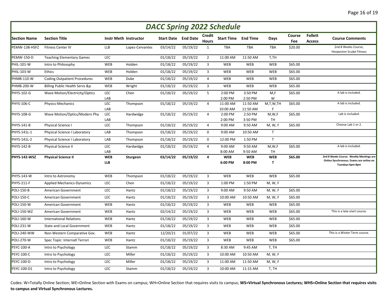|                     | <b>DACC Spring 2022 Schedule</b>    |                          |                              |                        |                 |                        |                            |                       |                      |               |                                 |                                                                                                        |  |  |
|---------------------|-------------------------------------|--------------------------|------------------------------|------------------------|-----------------|------------------------|----------------------------|-----------------------|----------------------|---------------|---------------------------------|--------------------------------------------------------------------------------------------------------|--|--|
| <b>Section Name</b> | <b>Section Title</b>                |                          | <b>Instr Meth Instructor</b> | Start Date             | <b>End Date</b> | Credit<br><b>Hours</b> | <b>Start Time End Time</b> |                       | Days                 | Course<br>Fee | <b>Follett</b><br><b>Access</b> | <b>Course Comments</b>                                                                                 |  |  |
| PEMW-138-HSFZ       | <b>Fitness Center IV</b>            | <b>LLB</b>               | Lopez-Cervantes              | 03/14/22               | 05/19/22        | $\mathbf{1}$           | <b>TBA</b>                 | TBA                   | <b>TBA</b>           | \$20.00       |                                 | 2nd 8 Weeks Course,<br><b>Hoopeston Sculpt Fitness</b>                                                 |  |  |
| <b>PEMW-150-D</b>   | <b>Teaching Elementary Games</b>    | <b>LEC</b>               |                              | 01/18/22               | 05/19/22        | $\overline{2}$         | 11:00 AM                   | 11:50 AM              | T,TH                 |               |                                 |                                                                                                        |  |  |
| PHIL-101-W          | Intro to Philosophy                 | WEB                      | Holden                       | 01/18/22               | 05/19/22        | 3                      | <b>WEB</b>                 | WEB                   | WEB                  | \$65.00       |                                 |                                                                                                        |  |  |
| <b>PHIL-103-W</b>   | Ethics                              | <b>WEB</b>               | Holden                       | 01/18/22               | 05/19/22        | 3                      | <b>WEB</b>                 | WEB                   | WEB                  | \$65.00       |                                 |                                                                                                        |  |  |
| PHMB-110-W          | <b>Coding Outpatient Procedures</b> | WEB                      | Duke                         | 01/18/22               | 05/19/22        | $\overline{4}$         | WEB                        | WEB                   | WEB                  | \$65.00       |                                 |                                                                                                        |  |  |
| <b>PHMB-200-W</b>   | Billing Public Health Servs &p      | WEB                      | Wright                       | 01/18/22               | 05/19/22        | $\mathbf{3}$           | <b>WEB</b>                 | WEB                   | WEB                  | \$65.00       |                                 |                                                                                                        |  |  |
| <b>PHYS-102-G</b>   | Wave Motion/Electricity/Optics      | LEC<br>LAB               | Chen                         | 01/18/22               | 05/19/22        | 5                      | 2:00 PM<br>2:00 PM         | 3:50 PM<br>2:50 PM    | M,F<br>W             | \$65.00       |                                 | A lab is included.                                                                                     |  |  |
| <b>PHYS-106-C</b>   | Physics-Mechanics                   | LEC<br>LAB               | Thompson                     | 01/18/22               | 05/19/22        | $\overline{4}$         | 11:00 AM<br>10:00 AM       | 11:50 AM<br>11:50 AM  | M,T,W,TH<br>F        | \$65.00       |                                 | A lab is included.                                                                                     |  |  |
| <b>PHYS-108-G</b>   | Wave Motion/Optics/Modern Phy       | LEC<br>LAB               | Hardwidge                    | 01/18/22               | 05/19/22        | 4                      | 2:00 PM<br>2:00 PM         | 2:50 PM<br>3:50 PM    | M, W, F<br><b>TH</b> | \$65.00       |                                 | Lab is included.                                                                                       |  |  |
| PHYS-141-B          | Physical Science I                  | LEC                      | Thompson                     | 01/18/22               | 05/19/22        | $\overline{4}$         | 9:00 AM                    | 9:50 AM               | M, W, F              | \$65.00       |                                 | Choose Lab 1 or 2.                                                                                     |  |  |
| PHYS-141L-1         | Physical Science I Laboratory       | LAB                      | Thompson                     | 01/18/22               | 05/19/22        | 0                      | 9:00 AM                    | 10:50 AM              | $\mathsf{T}$         |               |                                 |                                                                                                        |  |  |
| PHYS-141L-2         | Physical Science I Laboratory       | LAB                      | Thompson                     | 01/18/22               | 05/19/22        | 0                      | 12:00 PM                   | 1:50 PM               | T                    |               |                                 |                                                                                                        |  |  |
| <b>PHYS-142-B</b>   | Physical Science II                 | <b>LEC</b><br>LAB        | Hardwidge                    | 01/18/22               | 05/19/22        | $\overline{4}$         | 9:00 AM<br>8:00 AM         | 9:50 AM<br>9:50 AM    | M, W, F<br>TH        | \$65.00       |                                 | A lab is included.                                                                                     |  |  |
| PHYS-142-WSZ        | <b>Physical Science II</b>          | <b>WEB</b><br><b>LLB</b> | Sturgeon                     | 03/14/22               | 05/19/22        | 4                      | <b>WEB</b><br>6:00 PM      | <b>WEB</b><br>8:00 PM | <b>WEB</b><br>T      | \$65.00       |                                 | 2nd 8 Weeks Course. Weekly Meetings are<br>Online Synchronous. Exams are online on<br>Tuesdays 6pm-8pm |  |  |
| <b>PHYS-143-W</b>   | Intro to Astronomy                  | <b>WEB</b>               | Thompson                     | $\frac{1}{01}{18}{22}$ | 05/19/22        | 3                      | <b>WEB</b>                 | WEB                   | WEB                  | \$65.00       |                                 |                                                                                                        |  |  |
| PHYS-211-F          | <b>Applied Mechanics-Dynamics</b>   | <b>LEC</b>               | Chen                         | 01/18/22               | 05/19/22        | $\overline{3}$         | 1:00 PM                    | 1:50 PM               | M, W, F              |               |                                 |                                                                                                        |  |  |
| POLI-150-B          | American Government                 | LEC                      | Hantz                        | 01/18/22               | 05/19/22        | 3                      | 9:00 AM                    | 9:50 AM               | M, W, F              | \$65.00       |                                 |                                                                                                        |  |  |
| <b>POLI-150-C</b>   | American Government                 | LEC                      | Hantz                        | 01/18/22               | 05/19/22        | $\overline{3}$         | 10:00 AM                   | 10:50 AM              | M, W, F              | \$65.00       |                                 |                                                                                                        |  |  |
| POLI-150-W          | American Government                 | WEB                      | Hantz                        | 01/18/22               | 05/19/22        | 3                      | WEB                        | WEB                   | WEB                  | \$65.00       |                                 |                                                                                                        |  |  |
| <b>POLI-150-WZ</b>  | American Government                 | WEB                      | Hantz                        | 02/14/22               | 05/19/22        | 3                      | <b>WEB</b>                 | WEB                   | WEB                  | \$65.00       |                                 | This is a late-start course.                                                                           |  |  |
| POLI-160-W          | <b>International Relations</b>      | WEB                      | Hantz                        | 01/18/22               | 05/19/22        | 3                      | WEB                        | WEB                   | WEB                  | \$65.00       |                                 |                                                                                                        |  |  |
| <b>POLI-231-W</b>   | <b>State and Local Government</b>   | WEB                      | Hantz                        | 01/18/22               | 05/19/22        | 3                      | <b>WEB</b>                 | WEB                   | WEB                  | \$65.00       |                                 |                                                                                                        |  |  |
| <b>POLI-240-WW</b>  | Non-Western Comparative Gov.        | WEB                      | Hantz                        | 12/20/21               | 01/07/22        | 3                      | WEB                        | WEB                   | WEB                  | \$65.00       |                                 | This is a Winter Term course.                                                                          |  |  |
| <b>POLI-270-W</b>   | Spec Topic: Internatl Terrori       | WEB                      | Hantz                        | 01/18/22               | 05/19/22        | 3                      | <b>WEB</b>                 | WEB                   | <b>WEB</b>           | \$65.00       |                                 |                                                                                                        |  |  |
| <b>PSYC-100-A</b>   | Intro to Psychology                 | LEC                      | Stamm                        | 01/18/22               | 05/19/22        | 3                      | 8:30 AM                    | 9:45 AM               | T, TH                |               |                                 |                                                                                                        |  |  |
| <b>PSYC-100-C</b>   | Intro to Psychology                 | LEC                      | Miller                       | 01/18/22               | 05/19/22        | 3                      | 10:00 AM                   | 10:50 AM              | M, W, F              |               |                                 |                                                                                                        |  |  |
| PSYC-100-D          | Intro to Psychology                 | LEC                      | Miller                       | 01/18/22               | 05/19/22        | 3                      | 11:00 AM                   | 11:50 AM              | M, W, F              |               |                                 |                                                                                                        |  |  |
| PSYC-100-D1         | Intro to Psychology                 | LEC                      | Stamm                        | 01/18/22               | 05/19/22        | 3                      | 10:00 AM                   | 11:15 AM              | T, TH                |               |                                 |                                                                                                        |  |  |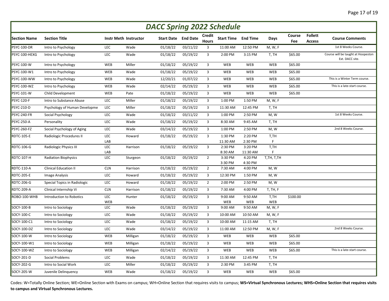|                     | <b>DACC Spring 2022 Schedule</b> |            |                       |                   |                 |                         |                    |                    |            |               |                                 |                                                       |  |  |
|---------------------|----------------------------------|------------|-----------------------|-------------------|-----------------|-------------------------|--------------------|--------------------|------------|---------------|---------------------------------|-------------------------------------------------------|--|--|
| <b>Section Name</b> | <b>Section Title</b>             |            | Instr Meth Instructor | <b>Start Date</b> | <b>End Date</b> | Credit<br><b>Hours</b>  | Start Time         | <b>End Time</b>    | Days       | Course<br>Fee | <b>Follett</b><br><b>Access</b> | <b>Course Comments</b>                                |  |  |
| PSYC-100-DR         | Intro to Psychology              | LEC        | Wade                  | 01/18/22          | 03/11/22        | $\overline{3}$          | 11:00 AM           | 12:50 PM           | M, W, F    |               |                                 | 1st 8 Weeks Course.                                   |  |  |
| PSYC-100-HEXG       | Intro to Psychology              | LEC        | Wade                  | 01/18/22          | 05/19/22        | $\overline{3}$          | 2:00 PM            | 3:15 PM            | T, TH      | \$65.00       |                                 | Course will be taught at Hoopeston<br>Ext. DACC site. |  |  |
| PSYC-100-W          | Intro to Psychology              | WEB        | Miller                | 01/18/22          | 05/19/22        | 3                       | WEB                | WEB                | <b>WEB</b> | \$65.00       |                                 |                                                       |  |  |
| PSYC-100-W1         | Intro to Psychology              | WEB        | Wade                  | 01/18/22          | 05/19/22        | 3                       | WEB                | WEB                | <b>WEB</b> | \$65.00       |                                 |                                                       |  |  |
| <b>PSYC-100-WW</b>  | Intro to Psychology              | WEB        | Wade                  | 12/20/21          | 01/07/22        | $\overline{3}$          | WEB                | WEB                | <b>WEB</b> | \$65.00       |                                 | This is a Winter Term course.                         |  |  |
| <b>PSYC-100-WZ</b>  | Intro to Psychology              | WEB        | Wade                  | 02/14/22          | 05/19/22        | $\overline{3}$          | WEB                | WEB                | <b>WEB</b> | \$65.00       |                                 | This is a late-start course.                          |  |  |
| <b>PSYC-101-W</b>   | Child Development                | WEB        | Pate                  | 01/18/22          | 05/19/22        | 3                       | WEB                | WEB                | <b>WEB</b> | \$65.00       |                                 |                                                       |  |  |
| <b>PSYC-120-F</b>   | Intro to Substance Abuse         | LEC        | Miller                | 01/18/22          | 05/19/22        | $\mathbf{3}$            | 1:00 PM            | 1:50 PM            | M, W, F    |               |                                 |                                                       |  |  |
| PSYC-210-D          | Psychology of Human Developme    | LEC        | Miller                | 01/18/22          | 05/19/22        | 3                       | 11:30 AM           | 12:45 PM           | T, TH      |               |                                 |                                                       |  |  |
| PSYC-240-FR         | Social Psychology                | LEC        | Wade                  | 01/18/22          | 03/11/22        | $\overline{3}$          | 1:00 PM            | 2:50 PM            | M, W       |               |                                 | 1st 8 Weeks Course.                                   |  |  |
| PSYC-250-A          | Personality                      | LEC        | Wade                  | 01/18/22          | 05/19/22        | 3                       | 8:30 AM            | 9:45 AM            | T, TH      |               |                                 |                                                       |  |  |
| PSYC-260-FZ         | Social Psychology of Aging       | LEC        | Wade                  | 03/14/22          | 05/19/22        | $\overline{\mathbf{3}}$ | 1:00 PM            | 2:50 PM            | M, W       |               |                                 | 2nd 8 Weeks Course.                                   |  |  |
| <b>RDTC-105-E</b>   | Radiologic Procedures II         | LEC        | Howard                | 01/18/22          | 05/19/22        | 3                       | 1:30 PM            | 2:20 PM            | T,TH       |               |                                 |                                                       |  |  |
|                     |                                  | LAB        |                       |                   |                 |                         | 11:30 AM           | 2:30 PM            | F          |               |                                 |                                                       |  |  |
| RDTC-106-G          | Radiologic Physics III           | LEC        | Harrison              | 01/18/22          | 05/19/22        | $\overline{3}$          | 2:30 PM            | 3:20 PM            | T,TH       |               |                                 |                                                       |  |  |
|                     |                                  | LAB        |                       |                   |                 |                         | 8:30 AM            | 11:30 AM           | F          |               |                                 |                                                       |  |  |
| <b>RDTC-107-H</b>   | <b>Radiation Biophysics</b>      | LEC        | Sturgeon              | 01/18/22          | 05/19/22        | $\overline{2}$          | 3:30 PM<br>3:30 PM | 4:20 PM<br>4:30 PM | T,TH, T,TH |               |                                 |                                                       |  |  |
| RDTC-110-A          | <b>Clinical Education II</b>     | <b>CLN</b> | Harrison              | 01/18/22          | 05/19/22        | $\overline{2}$          | 7:30 AM            | 4:00 PM            | M, W       |               |                                 |                                                       |  |  |
| RDTC-205-E          | <b>Image Analysis</b>            | LEC        | Howard                | 01/18/22          | 05/19/22        | $\mathbf{3}$            | 12:30 PM           | 1:50 PM            | M, W       |               |                                 |                                                       |  |  |
| RDTC-206-G          | Special Topics in Radiologic     | LEC        | Howard                | 01/18/22          | 05/19/22        | $\overline{2}$          | 2:00 PM            | 2:50 PM            | M, W       |               |                                 |                                                       |  |  |
| RDTC-209-A          | Clinical Internship Vi           | <b>CLN</b> | Harrison              | 01/18/22          | 05/19/22        | $\mathbf{3}$            | 7:30 AM            | 4:00 PM            | T, TH, F   |               |                                 |                                                       |  |  |
| ROBO-100-WHB        | Introduction to Robotics         | LEC        | Hunter                | 01/18/22          | 05/19/22        | $\mathbf{3}$            | 9:00 AM            | 9:50 AM            | T,TH       | \$100.00      |                                 |                                                       |  |  |
|                     |                                  | WEB        |                       |                   |                 |                         | WEB                | WEB                | WEB        |               |                                 |                                                       |  |  |
| SOCY-100-B          | Intro to Sociology               | LEC        | Wade                  | 01/18/22          | 05/19/22        | $\mathbf{3}$            | 9:00 AM            | 9:50 AM            | M, W, F    |               |                                 |                                                       |  |  |
| SOCY-100-C          | Intro to Sociology               | LEC        | Wade                  | 01/18/22          | 05/19/22        | $\mathbf{3}$            | 10:00 AM           | 10:50 AM           | M, W, F    |               |                                 |                                                       |  |  |
| SOCY-100-C1         | Intro to Sociology               | LEC        | Wade                  | 01/18/22          | 05/19/22        | $\overline{\mathbf{3}}$ | 10:00 AM           | 11:15 AM           | T, TH      |               |                                 |                                                       |  |  |
| SOCY-100-DZ         | Intro to Sociology               | LEC        | Wade                  | 03/14/22          | 05/19/22        | $\overline{3}$          | 11:00 AM           | 12:50 PM           | M, W, F    |               |                                 | 2nd 8 Weeks Course.                                   |  |  |
| SOCY-100-W          | Intro to Sociology               | WEB        | Milligan              | 01/18/22          | 05/19/22        | $\overline{3}$          | WEB                | WEB                | <b>WEB</b> | \$65.00       |                                 |                                                       |  |  |
| SOCY-100-W1         | Intro to Sociology               | WEB        | Milligan              | 01/18/22          | 05/19/22        | 3                       | WEB                | WEB                | <b>WEB</b> | \$65.00       |                                 |                                                       |  |  |
| SOCY-100-WZ         | Intro to Sociology               | WEB        | Milligan              | 02/14/22          | 05/19/22        | $\overline{3}$          | WEB                | WEB                | <b>WEB</b> | \$65.00       |                                 | This is a late-start course.                          |  |  |
| SOCY-201-D          | Social Problems                  | LEC        | Wade                  | 01/18/22          | 05/19/22        | $\overline{3}$          | 11:30 AM           | 12:45 PM           | T, TH      |               |                                 |                                                       |  |  |
| SOCY-202-G          | Intro to Social Work             | LEC        | Miller                | 01/18/22          | 05/19/22        | $\overline{3}$          | 2:30 PM            | 3:45 PM            | T, TH      |               |                                 |                                                       |  |  |
| SOCY-205-W          | Juvenile Delinguency             | WEB        | Wade                  | 01/18/22          | 05/19/22        | 3                       | WEB                | WEB                | <b>WEB</b> | \$65.00       |                                 |                                                       |  |  |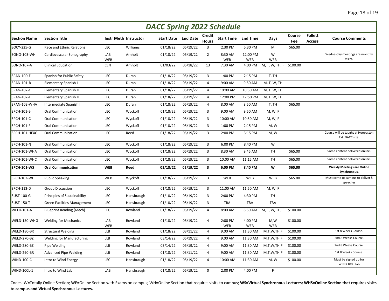|                     | <b>DACC Spring 2022 Schedule</b>   |            |                       |                            |          |                         |                            |                 |                         |               |                                 |                                                       |  |  |
|---------------------|------------------------------------|------------|-----------------------|----------------------------|----------|-------------------------|----------------------------|-----------------|-------------------------|---------------|---------------------------------|-------------------------------------------------------|--|--|
| <b>Section Name</b> | <b>Section Title</b>               |            | Instr Meth Instructor | <b>Start Date</b> End Date |          | Credit<br><b>Hours</b>  | <b>Start Time End Time</b> |                 | Days                    | Course<br>Fee | <b>Follett</b><br><b>Access</b> | <b>Course Comments</b>                                |  |  |
| SOCY-225-G          | Race and Ethnic Relations          | <b>LEC</b> | Williams              | 01/18/22                   | 05/19/22 | 3                       | 2:30 PM                    | 5:30 PM         | M                       | \$65.00       |                                 |                                                       |  |  |
| SONO-103-WH         | Cardiovascular Sonography          | LAB<br>WEB | Arnholt               | 01/18/22                   | 05/19/22 | $\overline{2}$          | 8:30 AM<br><b>WEB</b>      | 12:00 PM<br>WEB | W<br>WEB                |               |                                 | Wednesday meetings are monthly<br>visits.             |  |  |
| SONO-107-A          | <b>Clinical Education I</b>        | <b>CLN</b> | Arnholt               | 01/03/22                   | 05/18/22 | 13                      | 7:30 AM                    | 4:00 PM         | M, T, W, TH, F \$100.00 |               |                                 |                                                       |  |  |
| SPAN-100-F          | Spanish for Public Safety          | LEC        | Duran                 | 01/18/22                   | 05/19/22 | $\overline{3}$          | 1:00 PM                    | 2:15 PM         | T, TH                   |               |                                 |                                                       |  |  |
| SPAN-101-B          | Elementary Spanish I               | LEC        | Duran                 | 01/18/22                   | 05/19/22 | $\overline{4}$          | 9:00 AM                    | 9:50 AM         | M, T, W, TH             |               |                                 |                                                       |  |  |
| SPAN-102-C          | <b>Elementary Spanish II</b>       | LEC        | Duran                 | 01/18/22                   | 05/19/22 | $\overline{4}$          | 10:00 AM                   | 10:50 AM        | M, T, W, TH             |               |                                 |                                                       |  |  |
| SPAN-102-E          | Elementary Spanish II              | LEC        | Duran                 | 01/18/22                   | 05/19/22 | $\overline{4}$          | 12:00 PM                   | 12:50 PM        | M, T, W, TH             |               |                                 |                                                       |  |  |
| SPAN-103-WHA        | Intermediate Spanish I             | LEC        | Duran                 | 01/18/22                   | 05/19/22 | $\overline{4}$          | 8:00 AM                    | 8:50 AM         | T, TH                   | \$65.00       |                                 |                                                       |  |  |
| SPCH-101-B          | <b>Oral Communication</b>          | LEC        | Wyckoff               | 01/18/22                   | 05/19/22 | 3                       | 9:00 AM                    | 9:50 AM         | M, W, F                 |               |                                 |                                                       |  |  |
| SPCH-101-C          | <b>Oral Communication</b>          | LEC        | Wyckoff               | 01/18/22                   | 05/19/22 | 3                       | 10:00 AM                   | 10:50 AM        | M, W, F                 |               |                                 |                                                       |  |  |
| SPCH-101-F          | <b>Oral Communication</b>          | LEC        | Wyckoff               | 01/18/22                   | 05/19/22 | 3                       | 1:00 PM                    | 2:15 PM         | M, W                    |               |                                 |                                                       |  |  |
| SPCH-101-HEXG       | <b>Oral Communication</b>          | LEC        | Reed                  | 01/18/22                   | 05/19/22 | 3                       | 2:00 PM                    | 3:15 PM         | M, W                    |               |                                 | Course will be taught at Hoopeston<br>Ext. DACC site. |  |  |
| <b>SPCH-101-N</b>   | <b>Oral Communication</b>          | LEC        | Wyckoff               | 01/18/22                   | 05/19/22 | 3                       | 6:00 PM                    | 8:40 PM         | W                       |               |                                 |                                                       |  |  |
| SPCH-101-WHA        | Oral Communication                 | LEC        | Wyckoff               | 01/18/22                   | 05/19/22 | 3                       | 8:30 AM                    | 9:45 AM         | TH                      | \$65.00       |                                 | Some content delivered online.                        |  |  |
| SPCH-101-WHC        | <b>Oral Communication</b>          | LEC        | Wyckoff               | 01/18/22                   | 05/19/22 | 3                       | 10:00 AM                   | 11:15 AM        | <b>TH</b>               | \$65.00       |                                 | Some content delivered online.                        |  |  |
| <b>SPCH-101-WS</b>  | <b>Oral Communication</b>          | <b>WEB</b> | Reed                  | 01/18/22                   | 05/19/22 | $\overline{\mathbf{3}}$ | 6:00 PM                    | 8:40 PM         | W                       | \$65.00       |                                 | <b>Weekly Meetings are Online</b><br>Synchronous.     |  |  |
| SPCH-102-WH         | <b>Public Speaking</b>             | WEB        | Wyckoff               | 01/18/22                   | 05/19/22 | $\overline{3}$          | <b>WEB</b>                 | WEB             | WEB                     | \$65.00       |                                 | Must come to campus to deliver 5<br>speeches          |  |  |
| SPCH-113-D          | <b>Group Discussion</b>            | LEC        | Wyckoff               | 01/18/22                   | 05/19/22 | 3                       | 11:00 AM                   | 11:50 AM        | M, W, F                 |               |                                 |                                                       |  |  |
| <b>SUST-100-G</b>   | Principles of Sustainability       | LEC        | Hansbraugh            | 01/18/22                   | 05/19/22 | 3                       | 2:00 PM                    | 4:30 PM         | <b>TH</b>               |               |                                 |                                                       |  |  |
| <b>SUST-150-T</b>   | <b>Green Facilities Management</b> | LEC        | Hansbraugh            | 01/18/22                   | 05/19/22 | 3                       | <b>TBA</b>                 | <b>TBA</b>      | <b>TBA</b>              |               |                                 |                                                       |  |  |
| WELD-101-A          | <b>Blueprint Reading (Mech)</b>    | LEC        | Rowland               | 01/18/22                   | 05/19/22 | $\overline{4}$          | 8:00 AM                    | 8:50 AM         | M, T, W, TH, F \$100.00 |               |                                 |                                                       |  |  |
| WELD-150-WHG        | <b>Welding for Mechanics</b>       | LAB<br>WEB | Rowland               | 01/18/22                   | 05/19/22 | $\overline{4}$          | 2:00 PM<br>WEB             | 4:00 PM<br>WEB  | M,W<br>WEB              | \$100.00      |                                 |                                                       |  |  |
| WELD-180-BR         | <b>Structural Welding</b>          | <b>LLB</b> | Rowland               | 01/18/22                   | 03/11/22 | $\overline{4}$          | 9:00 AM                    | 11:30 AM        | M,T,W,TH,F              | \$100.00      |                                 | 1st 8 Weeks Course.                                   |  |  |
| WELD-270-BZ         | <b>Welding for Manufacturing</b>   | <b>LLB</b> | Rowland               | 03/14/22                   | 05/19/22 | $\overline{4}$          | 9:00 AM                    | 11:30 AM        | M,T,W,TH,F              | \$100.00      |                                 | 2nd 8 Weeks Course.                                   |  |  |
| WELD-280-BZ         | Pipe Welding                       | <b>LLB</b> | Rowland               | 03/14/22                   | 05/19/22 | $\overline{4}$          | 9:00 AM                    | 11:30 AM        | M,T,W,TH,F              | \$100.00      |                                 | 2nd 8 Weeks Course.                                   |  |  |
| WELD-290-BR         | <b>Advanced Pipe Welding</b>       | <b>LLB</b> | Rowland               | 01/18/22                   | 03/11/22 | $\overline{4}$          | 9:00 AM                    | 11:30 AM        | M,T,W,TH,F              | \$100.00      |                                 | 1st 8 Weeks Course.                                   |  |  |
| <b>WIND-100-C</b>   | Intro to Wind Energy               | LEC        | Hansbraugh            | 01/18/22                   | 05/19/22 | $\overline{4}$          | 10:00 AM                   | 11:30 AM        | M, W                    | \$100.00      |                                 | Must be signed up for<br>WIND 100L Lab                |  |  |
| <b>WIND-100L-1</b>  | Intro to Wind Lab                  | LAB        | Hansbraugh            | 01/18/22                   | 05/19/22 | $\mathbf 0$             | 2:00 PM                    | 4:00 PM         | F                       |               |                                 |                                                       |  |  |